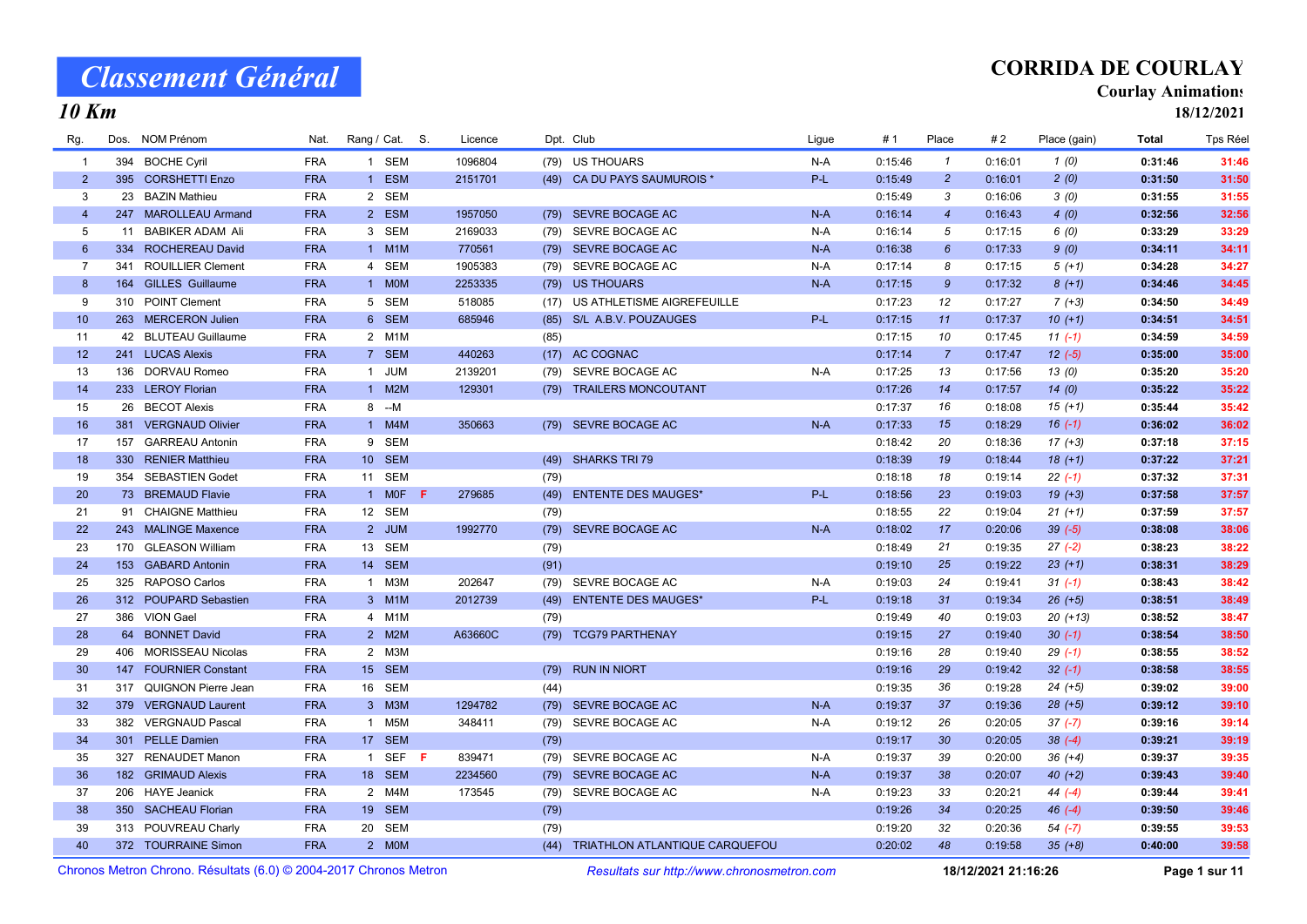## CORRIDA DE COURLAY

#### Courlay Animations

18/12/2021

|  | . m<br>л |
|--|----------|
|--|----------|

| Rg.            | Dos. NOM Prénom                                                   | Nat.       | Rang / Cat. S. | Licence |      | Dpt. Club                                  | Ligue | # 1     | Place           | #2                  | Place (gain) | Total   | <b>Tps Réel</b> |
|----------------|-------------------------------------------------------------------|------------|----------------|---------|------|--------------------------------------------|-------|---------|-----------------|---------------------|--------------|---------|-----------------|
| $\mathbf{1}$   | 394 BOCHE Cyril                                                   | <b>FRA</b> | 1 SEM          | 1096804 |      | (79) US THOUARS                            | $N-A$ | 0:15:46 | $\mathbf{1}$    | 0:16:01             | 1(0)         | 0:31:46 | 31:46           |
| $\overline{2}$ | 395 CORSHETTI Enzo                                                | <b>FRA</b> | 1 ESM          | 2151701 |      | (49) CA DU PAYS SAUMUROIS *                | $P-L$ | 0:15:49 | $\overline{2}$  | 0:16:01             | 2(0)         | 0:31:50 | 31:50           |
| $\mathbf{3}$   | 23 BAZIN Mathieu                                                  | <b>FRA</b> | 2 SEM          |         |      |                                            |       | 0:15:49 | 3               | 0:16:06             | 3(0)         | 0:31:55 | 31:55           |
| $\overline{4}$ | 247 MAROLLEAU Armand                                              | <b>FRA</b> | 2 ESM          | 1957050 |      | (79) SEVRE BOCAGE AC                       | $N-A$ | 0:16:14 | $\overline{4}$  | 0:16:43             | 4(0)         | 0:32:56 | 32:56           |
| 5              | 11 BABIKER ADAM Ali                                               | <b>FRA</b> | 3 SEM          | 2169033 |      | (79) SEVRE BOCAGE AC                       | $N-A$ | 0:16:14 | 5               | 0:17:15             | 6(0)         | 0:33:29 | 33:29           |
| $6\phantom{1}$ | 334 ROCHEREAU David                                               | <b>FRA</b> | 1 M1M          | 770561  |      | (79) SEVRE BOCAGE AC                       | $N-A$ | 0:16:38 | $6\overline{6}$ | 0:17:33             | 9(0)         | 0:34:11 | 34:11           |
| $\overline{7}$ | 341 ROUILLIER Clement                                             | <b>FRA</b> | 4 SEM          | 1905383 |      | (79) SEVRE BOCAGE AC                       | N-A   | 0:17:14 | 8               | 0:17:15             | $5(+1)$      | 0:34:28 | 34:27           |
| 8              | 164 GILLES Guillaume                                              | <b>FRA</b> | 1 MOM          | 2253335 |      | (79) US THOUARS                            | $N-A$ | 0:17:15 | 9               | 0:17:32             | $8 (+1)$     | 0:34:46 | 34:45           |
| 9              | 310 POINT Clement                                                 | <b>FRA</b> | 5 SEM          | 518085  |      | (17) US ATHLETISME AIGREFEUILLE            |       | 0:17:23 | 12              | 0:17:27             | $7 (+3)$     | 0:34:50 | 34:49           |
| 10             | 263 MERCERON Julien                                               | <b>FRA</b> | 6 SEM          | 685946  | (85) | S/L A.B.V. POUZAUGES                       | P-L   | 0:17:15 | 11              | 0:17:37             | $10 (+1)$    | 0:34:51 | 34:51           |
| 11             | 42 BLUTEAU Guillaume                                              | <b>FRA</b> | 2 M1M          |         | (85) |                                            |       | 0:17:15 | 10              | 0:17:45             | $11(-1)$     | 0:34:59 | 34:59           |
| 12             | 241 LUCAS Alexis                                                  | <b>FRA</b> | 7 SEM          | 440263  |      | (17) AC COGNAC                             |       | 0:17:14 | $\overline{7}$  | 0:17:47             | $12(-5)$     | 0:35:00 | 35:00           |
| 13             | 136 DORVAU Romeo                                                  | <b>FRA</b> | 1 JUM          | 2139201 |      | (79) SEVRE BOCAGE AC                       | $N-A$ | 0:17:25 | 13              | 0:17:56             | 13(0)        | 0:35:20 | 35:20           |
| 14             | 233 LEROY Florian                                                 | <b>FRA</b> | 1 M2M          | 129301  |      | (79) TRAILERS MONCOUTANT                   |       | 0:17:26 | 14              | 0:17:57             | 14(0)        | 0:35:22 | 35:22           |
| 15             | 26 BECOT Alexis                                                   | <b>FRA</b> | $8 - M$        |         |      |                                            |       | 0:17:37 | 16              | 0:18:08             | $15(+1)$     | 0:35:44 | 35:42           |
| 16             | 381 VERGNAUD Olivier                                              | <b>FRA</b> | 1 M4M          | 350663  |      | (79) SEVRE BOCAGE AC                       | $N-A$ | 0:17:33 | 15              | 0:18:29             | $16(-1)$     | 0:36:02 | 36:02           |
| 17             | 157 GARREAU Antonin                                               | <b>FRA</b> | 9 SEM          |         |      |                                            |       | 0:18:42 | 20              | 0:18:36             | $17 (+3)$    | 0:37:18 | 37:15           |
| 18             | 330 RENIER Matthieu                                               | <b>FRA</b> | 10 SEM         |         |      | (49) SHARKS TRI 79                         |       | 0:18:39 | 19              | 0:18:44             | $18(+1)$     | 0:37:22 | 37:21           |
| 19             | 354 SEBASTIEN Godet                                               | <b>FRA</b> | 11 SEM         |         | (79) |                                            |       | 0:18:18 | 18              | 0:19:14             | $22(-1)$     | 0:37:32 | 37:31           |
| 20             | 73 BREMAUD Flavie                                                 | <b>FRA</b> | 1 MOF<br>-F    | 279685  | (49) | <b>ENTENTE DES MAUGES*</b>                 | $P-L$ | 0:18:56 | 23              | 0:19:03             | $19 (+3)$    | 0:37:58 | 37:57           |
| 21             | 91 CHAIGNE Matthieu                                               | <b>FRA</b> | 12 SEM         |         | (79) |                                            |       | 0:18:55 | 22              | 0:19:04             | $21 (+1)$    | 0:37:59 | 37:57           |
| 22             | 243 MALINGE Maxence                                               | <b>FRA</b> | 2 JUM          | 1992770 |      | (79) SEVRE BOCAGE AC                       | $N-A$ | 0:18:02 | 17              | 0:20:06             | $39(-5)$     | 0:38:08 | 38:06           |
| 23             | 170 GLEASON William                                               | <b>FRA</b> | 13 SEM         |         | (79) |                                            |       | 0:18:49 | 21              | 0:19:35             | $27(-2)$     | 0:38:23 | 38:22           |
| 24             | 153 GABARD Antonin                                                | <b>FRA</b> | 14 SEM         |         | (91) |                                            |       | 0:19:10 | 25              | 0:19:22             | $23 (+1)$    | 0:38:31 | 38:29           |
| 25             | 325 RAPOSO Carlos                                                 | <b>FRA</b> | 1 M3M          | 202647  |      | (79) SEVRE BOCAGE AC                       | N-A   | 0:19:03 | 24              | 0:19:41             | $31 (-1)$    | 0:38:43 | 38:42           |
| 26             | 312 POUPARD Sebastien                                             | <b>FRA</b> | 3 M1M          | 2012739 |      | (49) ENTENTE DES MAUGES*                   | $P-L$ | 0:19:18 | 31              | 0:19:34             | $26 (+5)$    | 0:38:51 | 38:49           |
| 27             | 386 VION Gael                                                     | <b>FRA</b> | 4 M1M          |         | (79) |                                            |       | 0:19:49 | 40              | 0:19:03             | $20(+13)$    | 0:38:52 | 38:47           |
| 28             | 64 BONNET David                                                   | <b>FRA</b> | 2 M2M          | A63660C |      | (79) TCG79 PARTHENAY                       |       | 0:19:15 | 27              | 0:19:40             | $30(-1)$     | 0:38:54 | 38:50           |
| 29             | 406 MORISSEAU Nicolas                                             | <b>FRA</b> | 2 M3M          |         |      |                                            |       | 0:19:16 | 28              | 0:19:40             | $29(-1)$     | 0:38:55 | 38:52           |
| 30             | 147 FOURNIER Constant                                             | <b>FRA</b> | 15 SEM         |         |      | (79) RUN IN NIORT                          |       | 0:19:16 | 29              | 0:19:42             | $32(-1)$     | 0:38:58 | 38:55           |
| 31             | 317 QUIGNON Pierre Jean                                           | <b>FRA</b> | 16 SEM         |         | (44) |                                            |       | 0:19:35 | 36              | 0:19:28             | $24 (+5)$    | 0:39:02 | 39:00           |
| 32             | 379 VERGNAUD Laurent                                              | <b>FRA</b> | 3 M3M          | 1294782 |      | (79) SEVRE BOCAGE AC                       | $N-A$ | 0:19:37 | 37              | 0:19:36             | $28 (+5)$    | 0:39:12 | 39:10           |
| 33             | 382 VERGNAUD Pascal                                               | <b>FRA</b> | 1 M5M          | 348411  |      | (79) SEVRE BOCAGE AC                       | N-A   | 0:19:12 | 26              | 0:20:05             | $37(-7)$     | 0:39:16 | 39:14           |
| 34             | 301 PELLE Damien                                                  | <b>FRA</b> | 17 SEM         |         | (79) |                                            |       | 0:19:17 | 30 <sub>2</sub> | 0:20:05             | $38(-4)$     | 0:39:21 | 39:19           |
| 35             | 327 RENAUDET Manon                                                | <b>FRA</b> | 1 SEF F        | 839471  | (79) | SEVRE BOCAGE AC                            | N-A   | 0:19:37 | 39              | 0:20:00             | $36 (+4)$    | 0:39:37 | 39:35           |
| 36             | 182 GRIMAUD Alexis                                                | <b>FRA</b> | 18 SEM         | 2234560 |      | (79) SEVRE BOCAGE AC                       | $N-A$ | 0:19:37 | 38              | 0:20:07             | $40 (+2)$    | 0:39:43 | 39:40           |
| 37             | 206 HAYE Jeanick                                                  | <b>FRA</b> | 2 M4M          | 173545  | (79) | SEVRE BOCAGE AC                            | N-A   | 0:19:23 | 33              | 0:20:21             | $44 (-4)$    | 0:39:44 | 39:41           |
| 38             | 350 SACHEAU Florian                                               | <b>FRA</b> | 19 SEM         |         | (79) |                                            |       | 0:19:26 | 34              | 0:20:25             | $46(-4)$     | 0:39:50 | 39:46           |
| 39             | 313 POUVREAU Charly                                               | <b>FRA</b> | 20 SEM         |         | (79) |                                            |       | 0:19:20 | 32              | 0:20:36             | $54 (-7)$    | 0:39:55 | 39:53           |
| 40             | 372 TOURRAINE Simon                                               | <b>FRA</b> | 2 MOM          |         | (44) | TRIATHLON ATLANTIQUE CARQUEFOU             |       | 0:20:02 | 48              | 0:19:58             | $35 (+8)$    | 0:40:00 | 39:58           |
|                | Chronos Metron Chrono. Résultats (6.0) © 2004-2017 Chronos Metron |            |                |         |      | Resultats sur http://www.chronosmetron.com |       |         |                 | 18/12/2021 21:16:26 |              |         | Page 1 sur 11   |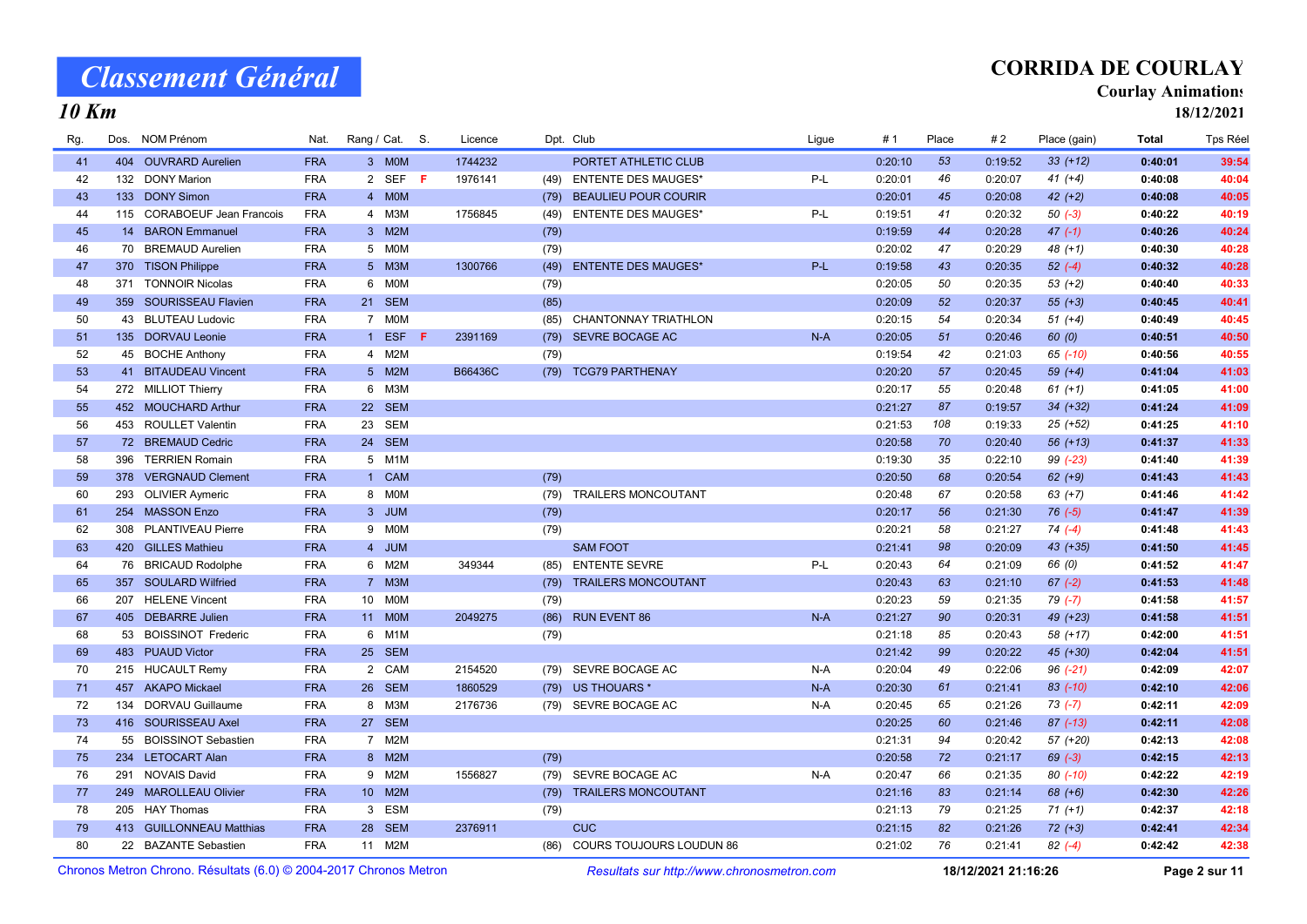10 Km

## CORRIDA DE COURLAY

#### Courlay Animations

18/12/2021

| Rg. | Dos. | <b>NOM Prénom</b>           | Nat.       | Rang / Cat. S.                |         | Licence |      | Dpt. Club                       | Ligue | #1      | Place | #2      | Place (gain) | Total   | Tps Réel |
|-----|------|-----------------------------|------------|-------------------------------|---------|---------|------|---------------------------------|-------|---------|-------|---------|--------------|---------|----------|
| 41  |      | 404 OUVRARD Aurelien        | <b>FRA</b> | 3 MOM                         |         | 1744232 |      | PORTET ATHLETIC CLUB            |       | 0:20:10 | 53    | 0:19:52 | $33 (+12)$   | 0:40:01 | 39:54    |
| 42  |      | 132 DONY Marion             | <b>FRA</b> |                               | 2 SEF F | 1976141 |      | (49) ENTENTE DES MAUGES*        | P-L   | 0:20:01 | 46    | 0:20:07 | $41 (+4)$    | 0:40:08 | 40:04    |
| 43  |      | 133 DONY Simon              | <b>FRA</b> | 4 MOM                         |         |         | (79) | <b>BEAULIEU POUR COURIR</b>     |       | 0:20:01 | 45    | 0:20:08 | $42 (+2)$    | 0:40:08 | 40:05    |
| 44  |      | 115 CORABOEUF Jean Francois | <b>FRA</b> | 4 M3M                         |         | 1756845 | (49) | <b>ENTENTE DES MAUGES*</b>      | $P-L$ | 0:19:51 | 41    | 0:20:32 | $50(-3)$     | 0:40:22 | 40:19    |
| 45  |      | 14 BARON Emmanuel           | <b>FRA</b> | 3 M2M                         |         |         | (79) |                                 |       | 0:19:59 | 44    | 0:20:28 | $47(-1)$     | 0:40:26 | 40:24    |
| 46  |      | 70 BREMAUD Aurelien         | <b>FRA</b> | 5 MOM                         |         |         | (79) |                                 |       | 0:20:02 | 47    | 0:20:29 | $48 (+1)$    | 0:40:30 | 40:28    |
| 47  |      | 370 TISON Philippe          | <b>FRA</b> | 5 M3M                         |         | 1300766 | (49) | <b>ENTENTE DES MAUGES*</b>      | $P-L$ | 0:19:58 | 43    | 0:20:35 | $52(-4)$     | 0:40:32 | 40:28    |
| 48  | 371  | <b>TONNOIR Nicolas</b>      | <b>FRA</b> | <b>MOM</b><br>6               |         |         | (79) |                                 |       | 0:20:05 | 50    | 0:20:35 | $53 (+2)$    | 0:40:40 | 40:33    |
| 49  |      | 359 SOURISSEAU Flavien      | <b>FRA</b> | 21 SEM                        |         |         | (85) |                                 |       | 0:20:09 | 52    | 0:20:37 | $55(+3)$     | 0:40:45 | 40:41    |
| 50  |      | 43 BLUTEAU Ludovic          | <b>FRA</b> | 7 MOM                         |         |         | (85) | <b>CHANTONNAY TRIATHLON</b>     |       | 0:20:15 | 54    | 0:20:34 | $51 (+4)$    | 0:40:49 | 40:45    |
| 51  |      | 135 DORVAU Leonie           | <b>FRA</b> | 1 ESF                         | -F      | 2391169 | (79) | SEVRE BOCAGE AC                 | $N-A$ | 0:20:05 | 51    | 0:20:46 | 60(0)        | 0:40:51 | 40:50    |
| 52  |      | 45 BOCHE Anthony            | <b>FRA</b> | 4 M2M                         |         |         | (79) |                                 |       | 0:19:54 | 42    | 0:21:03 | 65 (-10)     | 0:40:56 | 40:55    |
| 53  |      | 41 BITAUDEAU Vincent        | <b>FRA</b> | 5 M2M                         |         | B66436C | (79) | <b>TCG79 PARTHENAY</b>          |       | 0:20:20 | 57    | 0:20:45 | $59(+4)$     | 0:41:04 | 41:03    |
| 54  |      | 272 MILLIOT Thierry         | <b>FRA</b> | 6 M3M                         |         |         |      |                                 |       | 0:20:17 | 55    | 0:20:48 | $61 (+1)$    | 0:41:05 | 41:00    |
| 55  |      | 452 MOUCHARD Arthur         | <b>FRA</b> | 22 SEM                        |         |         |      |                                 |       | 0:21:27 | 87    | 0:19:57 | $34 (+32)$   | 0:41:24 | 41:09    |
| 56  |      | 453 ROULLET Valentin        | <b>FRA</b> | 23 SEM                        |         |         |      |                                 |       | 0:21:53 | 108   | 0:19:33 | 25 (+52)     | 0:41:25 | 41:10    |
| 57  |      | 72 BREMAUD Cedric           | <b>FRA</b> | 24 SEM                        |         |         |      |                                 |       | 0:20:58 | 70    | 0:20:40 | $56(+13)$    | 0:41:37 | 41:33    |
| 58  | 396  | <b>TERRIEN Romain</b>       | <b>FRA</b> | 5 M1M                         |         |         |      |                                 |       | 0:19:30 | 35    | 0:22:10 | 99 (-23)     | 0:41:40 | 41:39    |
| 59  |      | 378 VERGNAUD Clement        | <b>FRA</b> | 1 CAM                         |         |         | (79) |                                 |       | 0:20:50 | 68    | 0:20:54 | $62 (+9)$    | 0:41:43 | 41:43    |
| 60  |      | 293 OLIVIER Aymeric         | <b>FRA</b> | 8 MOM                         |         |         | (79) | <b>TRAILERS MONCOUTANT</b>      |       | 0:20:48 | 67    | 0:20:58 | $63 (+7)$    | 0:41:46 | 41:42    |
| 61  |      | 254 MASSON Enzo             | <b>FRA</b> | 3 JUM                         |         |         | (79) |                                 |       | 0:20:17 | 56    | 0:21:30 | $76(-5)$     | 0:41:47 | 41:39    |
| 62  |      | 308 PLANTIVEAU Pierre       | <b>FRA</b> | 9 MOM                         |         |         | (79) |                                 |       | 0:20:21 | 58    | 0:21:27 | $74 (-4)$    | 0:41:48 | 41:43    |
| 63  |      | 420 GILLES Mathieu          | <b>FRA</b> | <b>JUM</b><br>4 <sup>1</sup>  |         |         |      | <b>SAM FOOT</b>                 |       | 0:21:41 | 98    | 0:20:09 | 43 (+35)     | 0:41:50 | 41:45    |
| 64  |      | 76 BRICAUD Rodolphe         | <b>FRA</b> | 6 M2M                         |         | 349344  | (85) | <b>ENTENTE SEVRE</b>            | P-L   | 0:20:43 | 64    | 0:21:09 | 66 (0)       | 0:41:52 | 41:47    |
| 65  |      | 357 SOULARD Wilfried        | <b>FRA</b> | 7 M3M                         |         |         | (79) | <b>TRAILERS MONCOUTANT</b>      |       | 0:20:43 | 63    | 0:21:10 | $67 (-2)$    | 0:41:53 | 41:48    |
| 66  |      | 207 HELENE Vincent          | <b>FRA</b> | <b>MOM</b><br>10 <sup>1</sup> |         |         | (79) |                                 |       | 0:20:23 | 59    | 0:21:35 | $79(-7)$     | 0:41:58 | 41:57    |
| 67  |      | 405 DEBARRE Julien          | <b>FRA</b> | 11 MOM                        |         | 2049275 |      | (86) RUN EVENT 86               | $N-A$ | 0:21:27 | 90    | 0:20:31 | 49 (+23)     | 0:41:58 | 41:51    |
| 68  | 53   | <b>BOISSINOT Frederic</b>   | <b>FRA</b> | M1M<br>6                      |         |         | (79) |                                 |       | 0:21:18 | 85    | 0:20:43 | 58 (+17)     | 0:42:00 | 41:51    |
| 69  |      | 483 PUAUD Victor            | <b>FRA</b> | 25 SEM                        |         |         |      |                                 |       | 0:21:42 | 99    | 0:20:22 | 45 (+30)     | 0:42:04 | 41:51    |
| 70  |      | 215 HUCAULT Remy            | <b>FRA</b> | 2 CAM                         |         | 2154520 | (79) | SEVRE BOCAGE AC                 | $N-A$ | 0:20:04 | 49    | 0:22:06 | $96$ $(-21)$ | 0:42:09 | 42:07    |
| 71  |      | 457 AKAPO Mickael           | <b>FRA</b> | 26 SEM                        |         | 1860529 |      | (79) US THOUARS *               | $N-A$ | 0:20:30 | 61    | 0:21:41 | 83 (-10)     | 0:42:10 | 42:06    |
| 72  |      | 134 DORVAU Guillaume        | <b>FRA</b> | МЗМ<br>8                      |         | 2176736 |      | (79) SEVRE BOCAGE AC            | N-A   | 0:20:45 | 65    | 0:21:26 | $73(-7)$     | 0:42:11 | 42:09    |
| 73  |      | 416 SOURISSEAU Axel         | <b>FRA</b> | <b>SEM</b><br>27 <sub>2</sub> |         |         |      |                                 |       | 0:20:25 | 60    | 0:21:46 | $87$ $(-13)$ | 0:42:11 | 42:08    |
| 74  |      | 55 BOISSINOT Sebastien      | <b>FRA</b> | 7 M2M                         |         |         |      |                                 |       | 0:21:31 | 94    | 0:20:42 | 57 (+20)     | 0:42:13 | 42:08    |
| 75  |      | 234 LETOCART Alan           | <b>FRA</b> | 8 M2M                         |         |         | (79) |                                 |       | 0:20:58 | 72    | 0:21:17 | $69 (-3)$    | 0:42:15 | 42:13    |
| 76  |      | 291 NOVAIS David            | <b>FRA</b> | 9 M2M                         |         | 1556827 | (79) | SEVRE BOCAGE AC                 | $N-A$ | 0:20:47 | 66    | 0:21:35 | 80 (-10)     | 0:42:22 | 42:19    |
| 77  |      | 249 MAROLLEAU Olivier       | <b>FRA</b> | 10 M2M                        |         |         | (79) | <b>TRAILERS MONCOUTANT</b>      |       | 0:21:16 | 83    | 0:21:14 | $68 (+6)$    | 0:42:30 | 42:26    |
| 78  |      | 205 HAY Thomas              | <b>FRA</b> | <b>ESM</b><br>3               |         |         | (79) |                                 |       | 0:21:13 | 79    | 0:21:25 | $71 (+1)$    | 0:42:37 | 42:18    |
| 79  |      | 413 GUILLONNEAU Matthias    | <b>FRA</b> | 28 SEM                        |         | 2376911 |      | <b>CUC</b>                      |       | 0:21:15 | 82    | 0:21:26 | $72 (+3)$    | 0:42:41 | 42:34    |
| 80  |      | 22 BAZANTE Sebastien        | <b>FRA</b> | 11 M2M                        |         |         | (86) | <b>COURS TOUJOURS LOUDUN 86</b> |       | 0:21:02 | 76    | 0:21:41 | $82(-4)$     | 0:42:42 | 42:38    |
|     |      |                             |            |                               |         |         |      |                                 |       |         |       |         |              |         |          |

Chronos Metron Chrono. Résultats (6.0) © 2004-2017 Chronos Metron Resultats sur http://www.chronosmetron.com 18/12/2021 21:16:26 Page 2 sur 11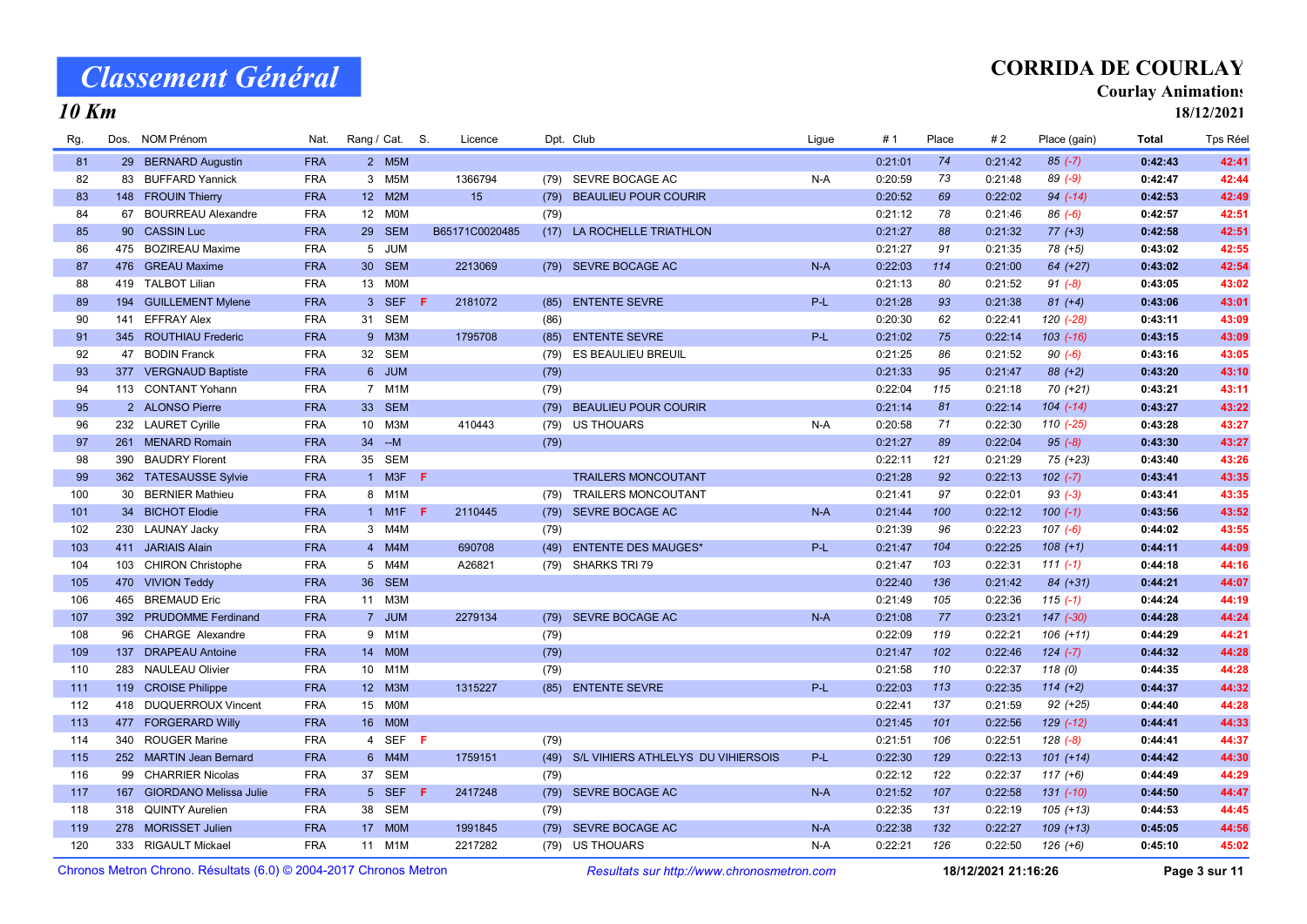10 Km

## CORRIDA DE COURLAY

#### Courlay Animations

18/12/2021

| Rg. |     | Dos. NOM Prénom            | Nat.       |                 | Rang / Cat. S. |    | Licence        |      | Dpt. Club                               | Ligue | #1      | Place | # 2     | Place (gain)  | <b>Total</b> | <b>Tps Réel</b> |
|-----|-----|----------------------------|------------|-----------------|----------------|----|----------------|------|-----------------------------------------|-------|---------|-------|---------|---------------|--------------|-----------------|
| 81  |     | 29 BERNARD Augustin        | <b>FRA</b> |                 | 2 M5M          |    |                |      |                                         |       | 0:21:01 | 74    | 0:21:42 | $85 (-7)$     | 0:42:43      | 42:41           |
| 82  |     | 83 BUFFARD Yannick         | <b>FRA</b> |                 | 3 M5M          |    | 1366794        |      | (79) SEVRE BOCAGE AC                    | $N-A$ | 0:20:59 | 73    | 0:21:48 | $89(-9)$      | 0:42:47      | 42:44           |
| 83  |     | 148 FROUIN Thierry         | <b>FRA</b> |                 | 12 M2M         |    | 15             |      | (79) BEAULIEU POUR COURIR               |       | 0:20:52 | 69    | 0:22:02 | $94 (-14)$    | 0:42:53      | 42:49           |
| 84  |     | 67 BOURREAU Alexandre      | <b>FRA</b> |                 | 12 M0M         |    |                | (79) |                                         |       | 0:21:12 | 78    | 0:21:46 | $86(-6)$      | 0:42:57      | 42:51           |
| 85  |     | 90 CASSIN Luc              | <b>FRA</b> |                 | 29 SEM         |    | B65171C0020485 |      | (17) LA ROCHELLE TRIATHLON              |       | 0:21:27 | 88    | 0:21:32 | $77 (+3)$     | 0:42:58      | 42:51           |
| 86  |     | 475 BOZIREAU Maxime        | <b>FRA</b> |                 | 5 JUM          |    |                |      |                                         |       | 0:21:27 | 91    | 0:21:35 | $78 (+5)$     | 0:43:02      | 42:55           |
| 87  |     | 476 GREAU Maxime           | <b>FRA</b> |                 | 30 SEM         |    | 2213069        |      | (79) SEVRE BOCAGE AC                    | $N-A$ | 0:22:03 | 114   | 0:21:00 | 64 (+27)      | 0:43:02      | 42:54           |
| 88  |     | 419 TALBOT Lilian          | <b>FRA</b> |                 | 13 M0M         |    |                |      |                                         |       | 0:21:13 | 80    | 0:21:52 | $91 (-8)$     | 0:43:05      | 43:02           |
| 89  |     | 194 GUILLEMENT Mylene      | <b>FRA</b> | 3 <sup>7</sup>  | <b>SEF</b>     | F. | 2181072        | (85) | <b>ENTENTE SEVRE</b>                    | P-L   | 0:21:28 | 93    | 0:21:38 | $81 (+4)$     | 0:43:06      | 43:01           |
| 90  |     | 141 EFFRAY Alex            | <b>FRA</b> |                 | 31 SEM         |    |                | (86) |                                         |       | 0:20:30 | 62    | 0:22:41 | $120(-28)$    | 0:43:11      | 43:09           |
| 91  |     | 345 ROUTHIAU Frederic      | <b>FRA</b> |                 | 9 M3M          |    | 1795708        | (85) | <b>ENTENTE SEVRE</b>                    | $P-L$ | 0:21:02 | 75    | 0:22:14 | $103$ (-16)   | 0:43:15      | 43:09           |
| 92  |     | 47 BODIN Franck            | <b>FRA</b> |                 | 32 SEM         |    |                | (79) | ES BEAULIEU BREUIL                      |       | 0:21:25 | 86    | 0:21:52 | $90 (-6)$     | 0:43:16      | 43:05           |
| 93  |     | 377 VERGNAUD Baptiste      | <b>FRA</b> |                 | 6 JUM          |    |                | (79) |                                         |       | 0:21:33 | 95    | 0:21:47 | $88 (+2)$     | 0:43:20      | 43:10           |
| 94  |     | 113 CONTANT Yohann         | <b>FRA</b> | $7\overline{ }$ | M1M            |    |                | (79) |                                         |       | 0:22:04 | 115   | 0:21:18 | $70 (+21)$    | 0:43:21      | 43:11           |
| 95  |     | 2 ALONSO Pierre            | <b>FRA</b> |                 | 33 SEM         |    |                | (79) | <b>BEAULIEU POUR COURIR</b>             |       | 0:21:14 | 81    | 0:22:14 | $104$ $(-14)$ | 0:43:27      | 43:22           |
| 96  |     | 232 LAURET Cyrille         | <b>FRA</b> |                 | 10 M3M         |    | 410443         |      | (79) US THOUARS                         | $N-A$ | 0:20:58 | 71    | 0:22:30 | $110(-25)$    | 0:43:28      | 43:27           |
| 97  |     | 261 MENARD Romain          | <b>FRA</b> |                 | $34 - M$       |    |                | (79) |                                         |       | 0:21:27 | 89    | 0:22:04 | $95 (-8)$     | 0:43:30      | 43:27           |
| 98  |     | 390 BAUDRY Florent         | <b>FRA</b> |                 | 35 SEM         |    |                |      |                                         |       | 0:22:11 | 121   | 0:21:29 | 75 (+23)      | 0:43:40      | 43:26           |
| 99  |     | 362 TATESAUSSE Sylvie      | <b>FRA</b> |                 | 1 M3F          | F. |                |      | <b>TRAILERS MONCOUTANT</b>              |       | 0:21:28 | 92    | 0:22:13 | $102 (-7)$    | 0:43:41      | 43:35           |
| 100 |     | 30 BERNIER Mathieu         | <b>FRA</b> |                 | 8 M1M          |    |                |      | (79) TRAILERS MONCOUTANT                |       | 0:21:41 | 97    | 0:22:01 | $93 (-3)$     | 0:43:41      | 43:35           |
| 101 |     | 34 BICHOT Elodie           | <b>FRA</b> |                 | 1 M1F <b>F</b> |    | 2110445        |      | (79) SEVRE BOCAGE AC                    | $N-A$ | 0:21:44 | 100   | 0:22:12 | $100 (-1)$    | 0:43:56      | 43:52           |
| 102 |     | 230 LAUNAY Jacky           | <b>FRA</b> |                 | 3 M4M          |    |                | (79) |                                         |       | 0:21:39 | 96    | 0:22:23 | $107(-6)$     | 0:44:02      | 43:55           |
| 103 |     | 411 JARIAIS Alain          | <b>FRA</b> |                 | 4 M4M          |    | 690708         | (49) | <b>ENTENTE DES MAUGES*</b>              | $P-L$ | 0:21:47 | 104   | 0:22:25 | $108 (+1)$    | 0:44:11      | 44:09           |
| 104 |     | 103 CHIRON Christophe      | <b>FRA</b> |                 | 5 M4M          |    | A26821         |      | (79) SHARKS TRI 79                      |       | 0:21:47 | 103   | 0:22:31 | $111(-1)$     | 0:44:18      | 44:16           |
| 105 |     | 470 VIVION Teddy           | <b>FRA</b> | 36 <sup>°</sup> | <b>SEM</b>     |    |                |      |                                         |       | 0:22:40 | 136   | 0:21:42 | $84 (+31)$    | 0:44:21      | 44:07           |
| 106 | 465 | <b>BREMAUD Eric</b>        | <b>FRA</b> |                 | 11 M3M         |    |                |      |                                         |       | 0:21:49 | 105   | 0:22:36 | $115(-1)$     | 0:44:24      | 44:19           |
| 107 |     | 392 PRUDOMME Ferdinand     | <b>FRA</b> |                 | 7 JUM          |    | 2279134        | (79) | SEVRE BOCAGE AC                         | $N-A$ | 0:21:08 | 77    | 0:23:21 | $147$ $(-30)$ | 0:44:28      | 44:24           |
| 108 |     | 96 CHARGE Alexandre        | <b>FRA</b> |                 | 9 M1M          |    |                | (79) |                                         |       | 0:22:09 | 119   | 0:22:21 | $106 (+11)$   | 0:44:29      | 44:21           |
| 109 |     | 137 DRAPEAU Antoine        | <b>FRA</b> |                 | 14 MOM         |    |                | (79) |                                         |       | 0:21:47 | 102   | 0:22:46 | $124 (-7)$    | 0:44:32      | 44:28           |
| 110 |     | 283 NAULEAU Olivier        | <b>FRA</b> |                 | 10 M1M         |    |                | (79) |                                         |       | 0:21:58 | 110   | 0:22:37 | 118(0)        | 0:44:35      | 44:28           |
| 111 |     | 119 CROISE Philippe        | <b>FRA</b> |                 | 12 M3M         |    | 1315227        |      | (85) ENTENTE SEVRE                      | $P-L$ | 0:22:03 | 113   | 0:22:35 | $114 (+2)$    | 0:44:37      | 44:32           |
| 112 |     | 418 DUQUERROUX Vincent     | <b>FRA</b> |                 | 15 MOM         |    |                |      |                                         |       | 0:22:41 | 137   | 0:21:59 | $92 (+25)$    | 0:44:40      | 44:28           |
| 113 |     | 477 FORGERARD Willy        | <b>FRA</b> |                 | 16 M0M         |    |                |      |                                         |       | 0:21:45 | 101   | 0:22:56 | $129$ (-12)   | 0:44:41      | 44:33           |
| 114 |     | 340 ROUGER Marine          | <b>FRA</b> |                 | 4 SEF F        |    |                | (79) |                                         |       | 0:21:51 | 106   | 0:22:51 | $128(-8)$     | 0:44:41      | 44:37           |
| 115 |     | 252 MARTIN Jean Bernard    | <b>FRA</b> |                 | 6 M4M          |    | 1759151        |      | (49) S/L VIHIERS ATHLELYS DU VIHIERSOIS | $P-L$ | 0:22:30 | 129   | 0:22:13 | $101 (+14)$   | 0:44:42      | 44:30           |
| 116 |     | 99 CHARRIER Nicolas        | <b>FRA</b> | 37              | SEM            |    |                | (79) |                                         |       | 0:22:12 | 122   | 0:22:37 | $117 (+6)$    | 0:44:49      | 44:29           |
| 117 |     | 167 GIORDANO Melissa Julie | <b>FRA</b> |                 | 5 SEF F        |    | 2417248        |      | (79) SEVRE BOCAGE AC                    | $N-A$ | 0:21:52 | 107   | 0:22:58 | $131 (-10)$   | 0:44:50      | 44:47           |
| 118 |     | 318 QUINTY Aurelien        | <b>FRA</b> | 38              | <b>SEM</b>     |    |                | (79) |                                         |       | 0:22:35 | 131   | 0:22:19 | $105 (+13)$   | 0:44:53      | 44:45           |
| 119 |     | 278 MORISSET Julien        | <b>FRA</b> | 17 <sup>2</sup> | <b>MOM</b>     |    | 1991845        | (79) | SEVRE BOCAGE AC                         | $N-A$ | 0:22:38 | 132   | 0:22:27 | $109 (+13)$   | 0:45:05      | 44:56           |
| 120 |     | 333 RIGAULT Mickael        | <b>FRA</b> |                 | 11 M1M         |    | 2217282        |      | (79) US THOUARS                         | $N-A$ | 0:22:21 | 126   | 0:22:50 | $126 (+6)$    | 0:45:10      | 45:02           |

Chronos Metron Chrono. Résultats (6.0) © 2004-2017 Chronos Metron Resultats sur http://www.chronosmetron.com 18/12/2021 21:16:26 Page 3 sur 11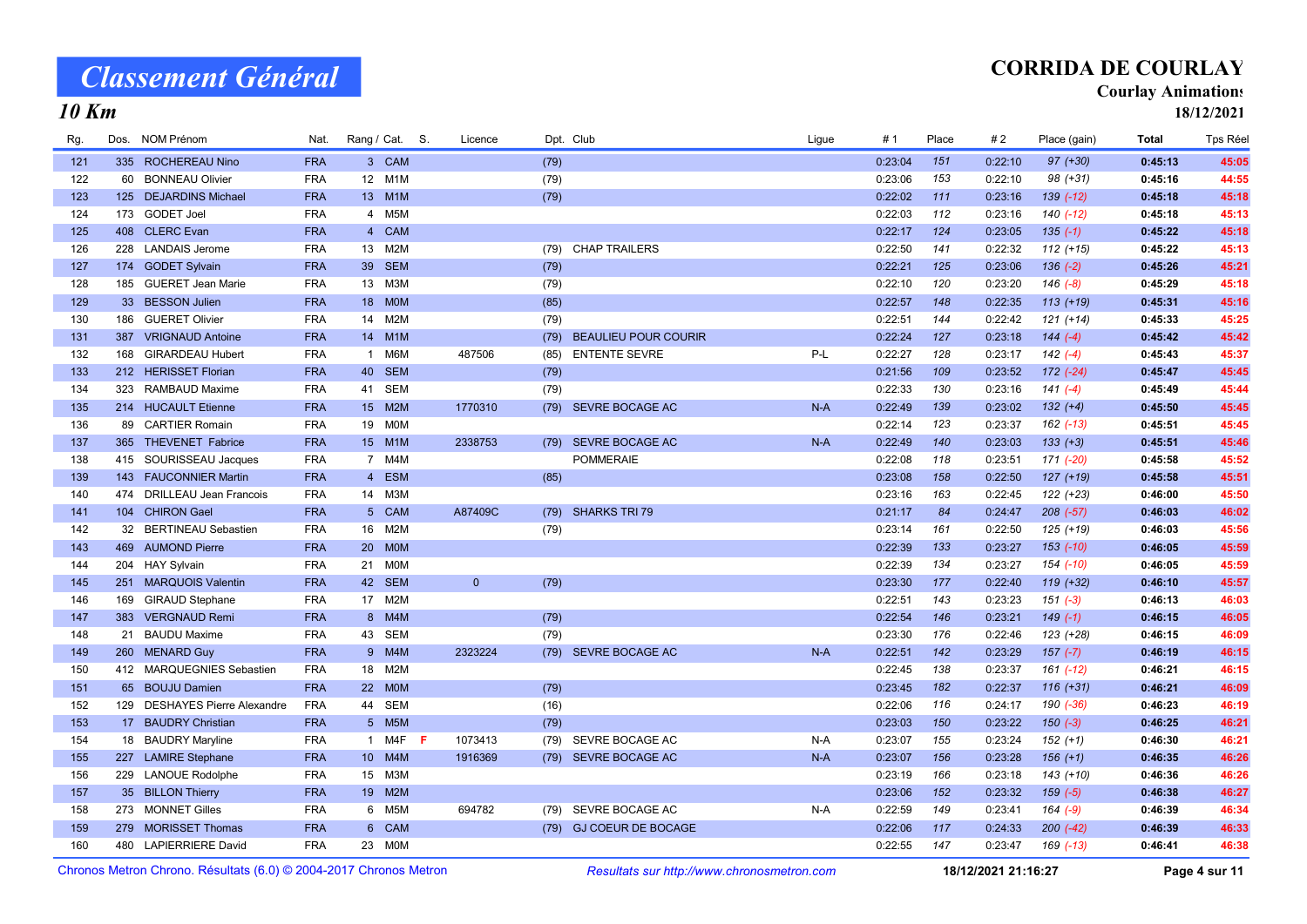## CORRIDA DE COURLAY

#### Courlay Animations

18/12/2021

### 10 Km

| Rg. |     | Dos. NOM Prénom                  | Nat.       | Rang / Cat. S.  |                  | Licence        |      | Dpt. Club                   | Lique | # 1     | Place | #2      | Place (gain)  | Total   | <b>Tps Réel</b> |
|-----|-----|----------------------------------|------------|-----------------|------------------|----------------|------|-----------------------------|-------|---------|-------|---------|---------------|---------|-----------------|
| 121 |     | 335 ROCHEREAU Nino               | <b>FRA</b> |                 | 3 CAM            |                | (79) |                             |       | 0:23:04 | 151   | 0:22:10 | $97 (+30)$    | 0:45:13 | 45:05           |
| 122 | 60  | <b>BONNEAU Olivier</b>           | <b>FRA</b> | 12 <sup>°</sup> | M <sub>1</sub> M |                | (79) |                             |       | 0:23:06 | 153   | 0:22:10 | $98 (+31)$    | 0:45:16 | 44:55           |
| 123 |     | 125 DEJARDINS Michael            | <b>FRA</b> |                 | 13 M1M           |                | (79) |                             |       | 0:22:02 | 111   | 0:23:16 | $139(-12)$    | 0:45:18 | 45:18           |
| 124 |     | 173 GODET Joel                   | <b>FRA</b> |                 | 4 M5M            |                |      |                             |       | 0:22:03 | 112   | 0:23:16 | 140 (-12)     | 0:45:18 | 45:13           |
| 125 |     | 408 CLERC Evan                   | <b>FRA</b> |                 | 4 CAM            |                |      |                             |       | 0:22:17 | 124   | 0:23:05 | $135(-1)$     | 0:45:22 | 45:18           |
| 126 |     | 228 LANDAIS Jerome               | <b>FRA</b> | 13              | M <sub>2</sub> M |                |      | (79) CHAP TRAILERS          |       | 0:22:50 | 141   | 0:22:32 | $112 (+15)$   | 0:45:22 | 45:13           |
| 127 |     | 174 GODET Sylvain                | <b>FRA</b> | 39              | <b>SEM</b>       |                | (79) |                             |       | 0:22:21 | 125   | 0:23:06 | $136(-2)$     | 0:45:26 | 45:21           |
| 128 |     | 185 GUERET Jean Marie            | <b>FRA</b> | 13 M3M          |                  |                | (79) |                             |       | 0:22:10 | 120   | 0:23:20 | $146(-8)$     | 0:45:29 | 45:18           |
| 129 |     | 33 BESSON Julien                 | <b>FRA</b> |                 | 18 M0M           |                | (85) |                             |       | 0:22:57 | 148   | 0:22:35 | $113 (+19)$   | 0:45:31 | 45:16           |
| 130 |     | 186 GUERET Olivier               | <b>FRA</b> | 14              | M2M              |                | (79) |                             |       | 0:22:51 | 144   | 0:22:42 | $121 (+14)$   | 0:45:33 | 45:25           |
| 131 |     | 387 VRIGNAUD Antoine             | <b>FRA</b> | 14              | M1M              |                | (79) | <b>BEAULIEU POUR COURIR</b> |       | 0:22:24 | 127   | 0:23:18 | $144(-4)$     | 0:45:42 | 45:42           |
| 132 | 168 | <b>GIRARDEAU Hubert</b>          | <b>FRA</b> | $\mathbf{1}$    | M6M              | 487506         | (85) | <b>ENTENTE SEVRE</b>        | P-L   | 0:22:27 | 128   | 0:23:17 | $142(-4)$     | 0:45:43 | 45:37           |
| 133 |     | 212 HERISSET Florian             | <b>FRA</b> | 40              | <b>SEM</b>       |                | (79) |                             |       | 0:21:56 | 109   | 0:23:52 | 172 (-24)     | 0:45:47 | 45:45           |
| 134 | 323 | RAMBAUD Maxime                   | <b>FRA</b> | 41              | <b>SEM</b>       |                | (79) |                             |       | 0:22:33 | 130   | 0:23:16 | $141 (-4)$    | 0:45:49 | 45:44           |
| 135 |     | 214 HUCAULT Etienne              | <b>FRA</b> | 15              | M2M              | 1770310        |      | (79) SEVRE BOCAGE AC        | $N-A$ | 0:22:49 | 139   | 0:23:02 | $132 (+4)$    | 0:45:50 | 45:45           |
| 136 |     | 89 CARTIER Romain                | <b>FRA</b> | 19              | <b>MOM</b>       |                |      |                             |       | 0:22:14 | 123   | 0:23:37 | 162 (-13)     | 0:45:51 | 45:45           |
| 137 |     | 365 THEVENET Fabrice             | <b>FRA</b> |                 | 15 M1M           | 2338753        | (79) | SEVRE BOCAGE AC             | $N-A$ | 0:22:49 | 140   | 0:23:03 | $133 (+3)$    | 0:45:51 | 45:46           |
| 138 |     | 415 SOURISSEAU Jacques           | <b>FRA</b> |                 | 7 M4M            |                |      | <b>POMMERAIE</b>            |       | 0:22:08 | 118   | 0:23:51 | 171 (-20)     | 0:45:58 | 45:52           |
| 139 |     | 143 FAUCONNIER Martin            | <b>FRA</b> |                 | 4 ESM            |                | (85) |                             |       | 0:23:08 | 158   | 0:22:50 | $127 (+19)$   | 0:45:58 | 45:51           |
| 140 |     | 474 DRILLEAU Jean Francois       | <b>FRA</b> |                 | 14 M3M           |                |      |                             |       | 0:23:16 | 163   | 0:22:45 | 122 (+23)     | 0:46:00 | 45:50           |
| 141 |     | 104 CHIRON Gael                  | <b>FRA</b> |                 | 5 CAM            | A87409C        |      | (79) SHARKS TRI 79          |       | 0:21:17 | 84    | 0:24:47 | $208 (-57)$   | 0:46:03 | 46:02           |
| 142 | 32  | <b>BERTINEAU Sebastien</b>       | <b>FRA</b> | 16              | M2M              |                | (79) |                             |       | 0:23:14 | 161   | 0:22:50 | 125 (+19)     | 0:46:03 | 45:56           |
| 143 |     | 469 AUMOND Pierre                | <b>FRA</b> | 20 <sup>2</sup> | <b>MOM</b>       |                |      |                             |       | 0:22:39 | 133   | 0:23:27 | $153$ $(-10)$ | 0:46:05 | 45:59           |
| 144 |     | 204 HAY Sylvain                  | <b>FRA</b> |                 | 21 M0M           |                |      |                             |       | 0:22:39 | 134   | 0:23:27 | $154$ $(-10)$ | 0:46:05 | 45:59           |
| 145 |     | 251 MARQUOIS Valentin            | <b>FRA</b> | 42              | <b>SEM</b>       | $\overline{0}$ | (79) |                             |       | 0:23:30 | 177   | 0:22:40 | $119 (+32)$   | 0:46:10 | 45:57           |
| 146 |     | 169 GIRAUD Stephane              | <b>FRA</b> | 17              | M2M              |                |      |                             |       | 0:22:51 | 143   | 0:23:23 | $151(-3)$     | 0:46:13 | 46:03           |
| 147 |     | 383 VERGNAUD Remi                | <b>FRA</b> | 8 <sup>°</sup>  | M4M              |                | (79) |                             |       | 0:22:54 | 146   | 0:23:21 | $149(-1)$     | 0:46:15 | 46:05           |
| 148 |     | 21 BAUDU Maxime                  | <b>FRA</b> | 43              | <b>SEM</b>       |                | (79) |                             |       | 0:23:30 | 176   | 0:22:46 | 123 (+28)     | 0:46:15 | 46:09           |
| 149 |     | 260 MENARD Guy                   | <b>FRA</b> |                 | 9 M4M            | 2323224        |      | (79) SEVRE BOCAGE AC        | $N-A$ | 0:22:51 | 142   | 0:23:29 | $157(-7)$     | 0:46:19 | 46:15           |
| 150 |     | 412 MARQUEGNIES Sebastien        | <b>FRA</b> | 18              | M2M              |                |      |                             |       | 0:22:45 | 138   | 0:23:37 | 161 (-12)     | 0:46:21 | 46:15           |
| 151 |     | 65 BOUJU Damien                  | <b>FRA</b> | 22              | <b>MOM</b>       |                | (79) |                             |       | 0:23:45 | 182   | 0:22:37 | $116 (+31)$   | 0:46:21 | 46:09           |
| 152 | 129 | <b>DESHAYES Pierre Alexandre</b> | <b>FRA</b> | 44              | <b>SEM</b>       |                | (16) |                             |       | 0:22:06 | 116   | 0:24:17 | 190 (-36)     | 0:46:23 | 46:19           |
| 153 |     | 17 BAUDRY Christian              | <b>FRA</b> |                 | 5 M5M            |                | (79) |                             |       | 0:23:03 | 150   | 0:23:22 | $150(-3)$     | 0:46:25 | 46:21           |
| 154 |     | 18 BAUDRY Maryline               | <b>FRA</b> |                 | 1 M4F <b>F</b>   | 1073413        | (79) | SEVRE BOCAGE AC             | N-A   | 0:23:07 | 155   | 0:23:24 | $152 (+1)$    | 0:46:30 | 46:21           |
| 155 |     | 227 LAMIRE Stephane              | <b>FRA</b> |                 | 10 M4M           | 1916369        |      | (79) SEVRE BOCAGE AC        | $N-A$ | 0:23:07 | 156   | 0:23:28 | $156 (+1)$    | 0:46:35 | 46:26           |
| 156 |     | 229 LANOUE Rodolphe              | <b>FRA</b> | 15              | МЗМ              |                |      |                             |       | 0:23:19 | 166   | 0:23:18 | 143 (+10)     | 0:46:36 | 46:26           |
| 157 |     | 35 BILLON Thierry                | <b>FRA</b> | 19 <sup>°</sup> | M2M              |                |      |                             |       | 0:23:06 | 152   | 0:23:32 | $159(-5)$     | 0:46:38 | 46:27           |
| 158 |     | 273 MONNET Gilles                | <b>FRA</b> |                 | 6 M5M            | 694782         | (79) | SEVRE BOCAGE AC             | N-A   | 0:22:59 | 149   | 0:23:41 | $164 (-9)$    | 0:46:39 | 46:34           |
| 159 |     | 279 MORISSET Thomas              | <b>FRA</b> |                 | 6 CAM            |                |      | (79) GJ COEUR DE BOCAGE     |       | 0:22:06 | 117   | 0:24:33 | $200(-42)$    | 0:46:39 | 46:33           |
| 160 |     | 480 LAPIERRIERE David            | <b>FRA</b> |                 | 23 M0M           |                |      |                             |       | 0:22:55 | 147   | 0:23:47 | 169 (-13)     | 0:46:41 | 46:38           |

Chronos Metron Chrono. Résultats (6.0) © 2004-2017 Chronos Metron Resultats sur http://www.chronosmetron.com 18/12/2021 21:16:27 Page 4 sur 11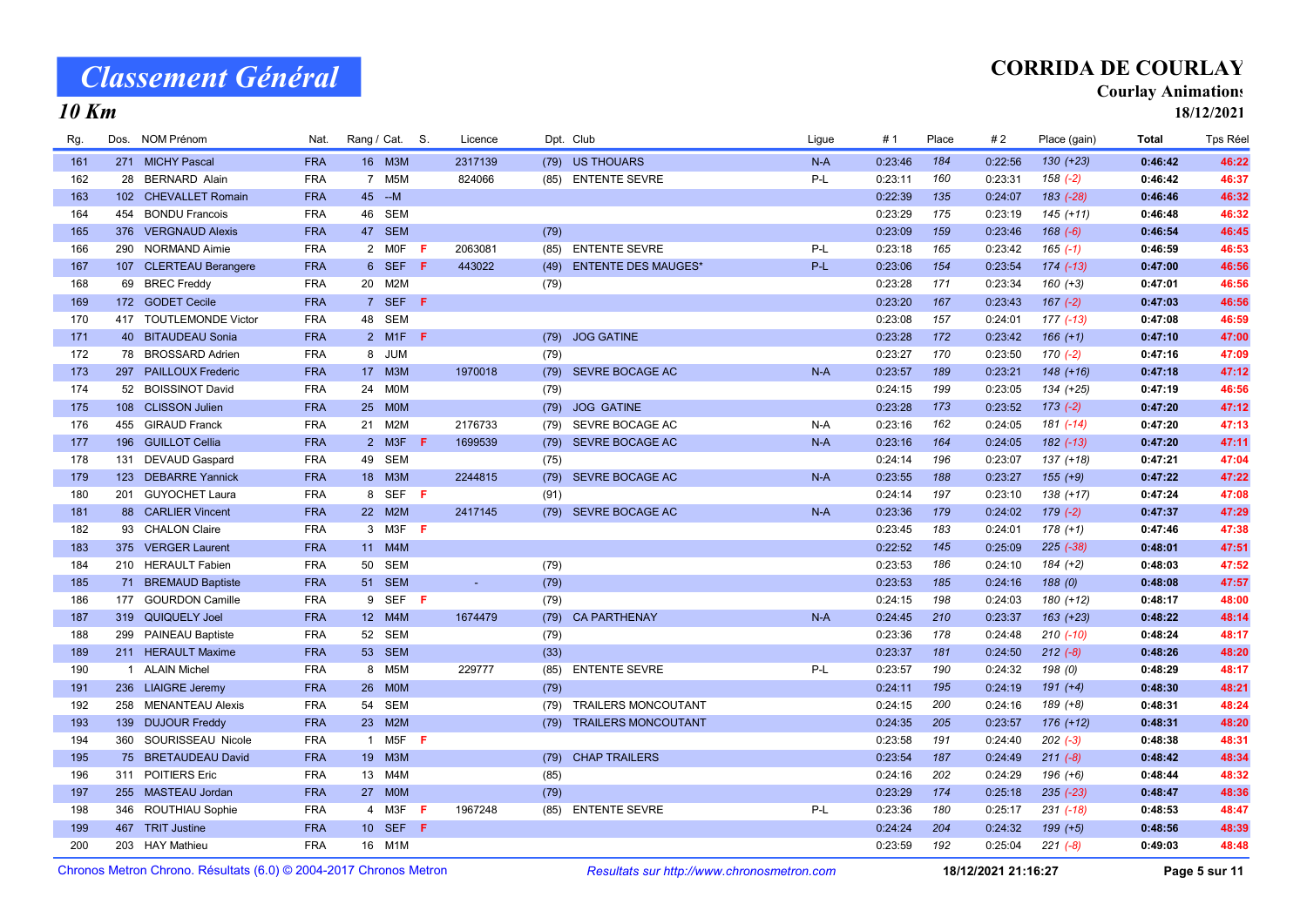## CORRIDA DE COURLAY

#### Courlay Animations

18/12/2021

### 10 Km

| Rg. | Dos. NOM Prénom        | Nat.       | Rang / Cat. S.  |                        |     | Licence |      | Dpt. Club                  | Ligue | #1      | Place | #2      | Place (gain)  | Total   | Tps Réel |
|-----|------------------------|------------|-----------------|------------------------|-----|---------|------|----------------------------|-------|---------|-------|---------|---------------|---------|----------|
| 161 | 271 MICHY Pascal       | <b>FRA</b> |                 | 16 M3M                 |     | 2317139 |      | (79) US THOUARS            | $N-A$ | 0:23:46 | 184   | 0:22:56 | $130 (+23)$   | 0:46:42 | 46:22    |
| 162 | 28 BERNARD Alain       | <b>FRA</b> |                 | 7 M5M                  |     | 824066  |      | (85) ENTENTE SEVRE         | P-L   | 0:23:11 | 160   | 0:23:31 | $158(-2)$     | 0:46:42 | 46:37    |
| 163 | 102 CHEVALLET Romain   | <b>FRA</b> |                 | 45 -- M                |     |         |      |                            |       | 0:22:39 | 135   | 0:24:07 | 183 (-28)     | 0:46:46 | 46:32    |
| 164 | 454 BONDU Francois     | <b>FRA</b> | 46              | <b>SEM</b>             |     |         |      |                            |       | 0:23:29 | 175   | 0:23:19 | $145 (+11)$   | 0:46:48 | 46:32    |
| 165 | 376 VERGNAUD Alexis    | <b>FRA</b> |                 | 47 SEM                 |     |         | (79) |                            |       | 0:23:09 | 159   | 0:23:46 | $168(-6)$     | 0:46:54 | 46:45    |
| 166 | 290 NORMAND Aimie      | <b>FRA</b> |                 | 2 MOF                  | -F. | 2063081 | (85) | <b>ENTENTE SEVRE</b>       | P-L   | 0:23:18 | 165   | 0:23:42 | $165(-1)$     | 0:46:59 | 46:53    |
| 167 | 107 CLERTEAU Berangere | <b>FRA</b> |                 | 6 SEF                  | F   | 443022  | (49) | <b>ENTENTE DES MAUGES*</b> | $P-L$ | 0:23:06 | 154   | 0:23:54 | $174$ $(-13)$ | 0:47:00 | 46:56    |
| 168 | 69 BREC Freddy         | <b>FRA</b> |                 | 20 M2M                 |     |         | (79) |                            |       | 0:23:28 | 171   | 0:23:34 | $160 (+3)$    | 0:47:01 | 46:56    |
| 169 | 172 GODET Cecile       | <b>FRA</b> |                 | 7 SEF F                |     |         |      |                            |       | 0:23:20 | 167   | 0:23:43 | $167$ (-2)    | 0:47:03 | 46:56    |
| 170 | 417 TOUTLEMONDE Victor | <b>FRA</b> |                 | 48 SEM                 |     |         |      |                            |       | 0:23:08 | 157   | 0:24:01 | 177 (-13)     | 0:47:08 | 46:59    |
| 171 | 40 BITAUDEAU Sonia     | <b>FRA</b> |                 | 2 M <sub>1</sub> F $F$ |     |         |      | (79) JOG GATINE            |       | 0:23:28 | 172   | 0:23:42 | $166 (+1)$    | 0:47:10 | 47:00    |
| 172 | 78 BROSSARD Adrien     | <b>FRA</b> |                 | 8 JUM                  |     |         | (79) |                            |       | 0:23:27 | 170   | 0:23:50 | $170(-2)$     | 0:47:16 | 47:09    |
| 173 | 297 PAILLOUX Frederic  | <b>FRA</b> |                 | 17 M3M                 |     | 1970018 | (79) | SEVRE BOCAGE AC            | $N-A$ | 0:23:57 | 189   | 0:23:21 | $148 (+16)$   | 0:47:18 | 47:12    |
| 174 | 52 BOISSINOT David     | <b>FRA</b> | 24              | <b>MOM</b>             |     |         | (79) |                            |       | 0:24:15 | 199   | 0:23:05 | 134 (+25)     | 0:47:19 | 46:56    |
| 175 | 108 CLISSON Julien     | <b>FRA</b> | 25              | <b>MOM</b>             |     |         | (79) | <b>JOG GATINE</b>          |       | 0:23:28 | 173   | 0:23:52 | $173(-2)$     | 0:47:20 | 47:12    |
| 176 | 455 GIRAUD Franck      | <b>FRA</b> | 21              | M <sub>2</sub> M       |     | 2176733 | (79) | SEVRE BOCAGE AC            | N-A   | 0:23:16 | 162   | 0:24:05 | $181(-14)$    | 0:47:20 | 47:13    |
| 177 | 196 GUILLOT Cellia     | <b>FRA</b> |                 | $2$ M <sub>3</sub> F   | -F  | 1699539 | (79) | SEVRE BOCAGE AC            | $N-A$ | 0:23:16 | 164   | 0:24:05 | 182 (-13)     | 0:47:20 | 47:11    |
| 178 | 131 DEVAUD Gaspard     | <b>FRA</b> | 49              | <b>SEM</b>             |     |         | (75) |                            |       | 0:24:14 | 196   | 0:23:07 | 137 (+18)     | 0:47:21 | 47:04    |
| 179 | 123 DEBARRE Yannick    | <b>FRA</b> |                 | 18 M3M                 |     | 2244815 | (79) | <b>SEVRE BOCAGE AC</b>     | $N-A$ | 0:23:55 | 188   | 0:23:27 | $155 (+9)$    | 0:47:22 | 47:22    |
| 180 | 201 GUYOCHET Laura     | <b>FRA</b> |                 | 8 SEF F                |     |         | (91) |                            |       | 0:24:14 | 197   | 0:23:10 | $138 (+17)$   | 0:47:24 | 47:08    |
| 181 | 88 CARLIER Vincent     | <b>FRA</b> |                 | 22 M2M                 |     | 2417145 |      | (79) SEVRE BOCAGE AC       | $N-A$ | 0:23:36 | 179   | 0:24:02 | $179(-2)$     | 0:47:37 | 47:29    |
| 182 | 93 CHALON Claire       | <b>FRA</b> |                 | 3 M3F <b>F</b>         |     |         |      |                            |       | 0:23:45 | 183   | 0:24:01 | $178 (+1)$    | 0:47:46 | 47:38    |
| 183 | 375 VERGER Laurent     | <b>FRA</b> |                 | 11 M4M                 |     |         |      |                            |       | 0:22:52 | 145   | 0:25:09 | $225$ $(-38)$ | 0:48:01 | 47:51    |
| 184 | 210 HERAULT Fabien     | <b>FRA</b> | 50              | <b>SEM</b>             |     |         | (79) |                            |       | 0:23:53 | 186   | 0:24:10 | $184 (+2)$    | 0:48:03 | 47:52    |
| 185 | 71 BREMAUD Baptiste    | <b>FRA</b> | 51              | <b>SEM</b>             |     | $\sim$  | (79) |                            |       | 0:23:53 | 185   | 0:24:16 | 188(0)        | 0:48:08 | 47:57    |
| 186 | 177 GOURDON Camille    | <b>FRA</b> | 9               | SEF F                  |     |         | (79) |                            |       | 0:24:15 | 198   | 0:24:03 | 180 (+12)     | 0:48:17 | 48:00    |
| 187 | 319 QUIQUELY Joel      | <b>FRA</b> |                 | 12 M4M                 |     | 1674479 | (79) | <b>CA PARTHENAY</b>        | $N-A$ | 0:24:45 | 210   | 0:23:37 | $163 (+23)$   | 0:48:22 | 48:14    |
| 188 | 299 PAINEAU Baptiste   | <b>FRA</b> | 52              | <b>SEM</b>             |     |         | (79) |                            |       | 0:23:36 | 178   | 0:24:48 | $210(-10)$    | 0:48:24 | 48:17    |
| 189 | 211 HERAULT Maxime     | <b>FRA</b> |                 | 53 SEM                 |     |         | (33) |                            |       | 0:23:37 | 181   | 0:24:50 | $212 (-8)$    | 0:48:26 | 48:20    |
| 190 | 1 ALAIN Michel         | <b>FRA</b> |                 | 8 M5M                  |     | 229777  | (85) | <b>ENTENTE SEVRE</b>       | P-L   | 0:23:57 | 190   | 0:24:32 | 198 (0)       | 0:48:29 | 48:17    |
| 191 | 236 LIAIGRE Jeremy     | <b>FRA</b> | 26              | <b>MOM</b>             |     |         | (79) |                            |       | 0:24:11 | 195   | 0:24:19 | $191 (+4)$    | 0:48:30 | 48:21    |
| 192 | 258 MENANTEAU Alexis   | <b>FRA</b> | 54              | <b>SEM</b>             |     |         | (79) | TRAILERS MONCOUTANT        |       | 0:24:15 | 200   | 0:24:16 | $189 (+8)$    | 0:48:31 | 48:24    |
| 193 | 139 DUJOUR Freddy      | <b>FRA</b> |                 | 23 M2M                 |     |         |      | (79) TRAILERS MONCOUTANT   |       | 0:24:35 | 205   | 0:23:57 | $176 (+12)$   | 0:48:31 | 48:20    |
| 194 | 360 SOURISSEAU Nicole  | <b>FRA</b> | $\overline{1}$  | M5F                    | -F  |         |      |                            |       | 0:23:58 | 191   | 0:24:40 | $202 (-3)$    | 0:48:38 | 48:31    |
| 195 | 75 BRETAUDEAU David    | <b>FRA</b> | 19              | M3M                    |     |         | (79) | <b>CHAP TRAILERS</b>       |       | 0:23:54 | 187   | 0:24:49 | $211 (-8)$    | 0:48:42 | 48:34    |
| 196 | 311 POITIERS Eric      | <b>FRA</b> | 13              | M4M                    |     |         | (85) |                            |       | 0:24:16 | 202   | 0:24:29 | $196 (+6)$    | 0:48:44 | 48:32    |
| 197 | 255 MASTEAU Jordan     | <b>FRA</b> |                 | 27 MOM                 |     |         | (79) |                            |       | 0:23:29 | 174   | 0:25:18 | $235$ $(-23)$ | 0:48:47 | 48:36    |
| 198 | 346 ROUTHIAU Sophie    | <b>FRA</b> |                 | 4 M3F                  | -F  | 1967248 |      | (85) ENTENTE SEVRE         | P-L   | 0:23:36 | 180   | 0:25:17 | $231$ (-18)   | 0:48:53 | 48:47    |
| 199 | 467 TRIT Justine       | <b>FRA</b> | 10 <sup>1</sup> | SEF F                  |     |         |      |                            |       | 0:24:24 | 204   | 0:24:32 | $199 (+5)$    | 0:48:56 | 48:39    |
| 200 | 203 HAY Mathieu        | <b>FRA</b> |                 | 16 M1M                 |     |         |      |                            |       | 0:23:59 | 192   | 0:25:04 | $221 (-8)$    | 0:49:03 | 48:48    |
|     |                        |            |                 |                        |     |         |      |                            |       |         |       |         |               |         |          |

Chronos Metron Chrono. Résultats (6.0) © 2004-2017 Chronos Metron Resultats sur http://www.chronosmetron.com 18/12/2021 21:16:27 Page 5 sur 11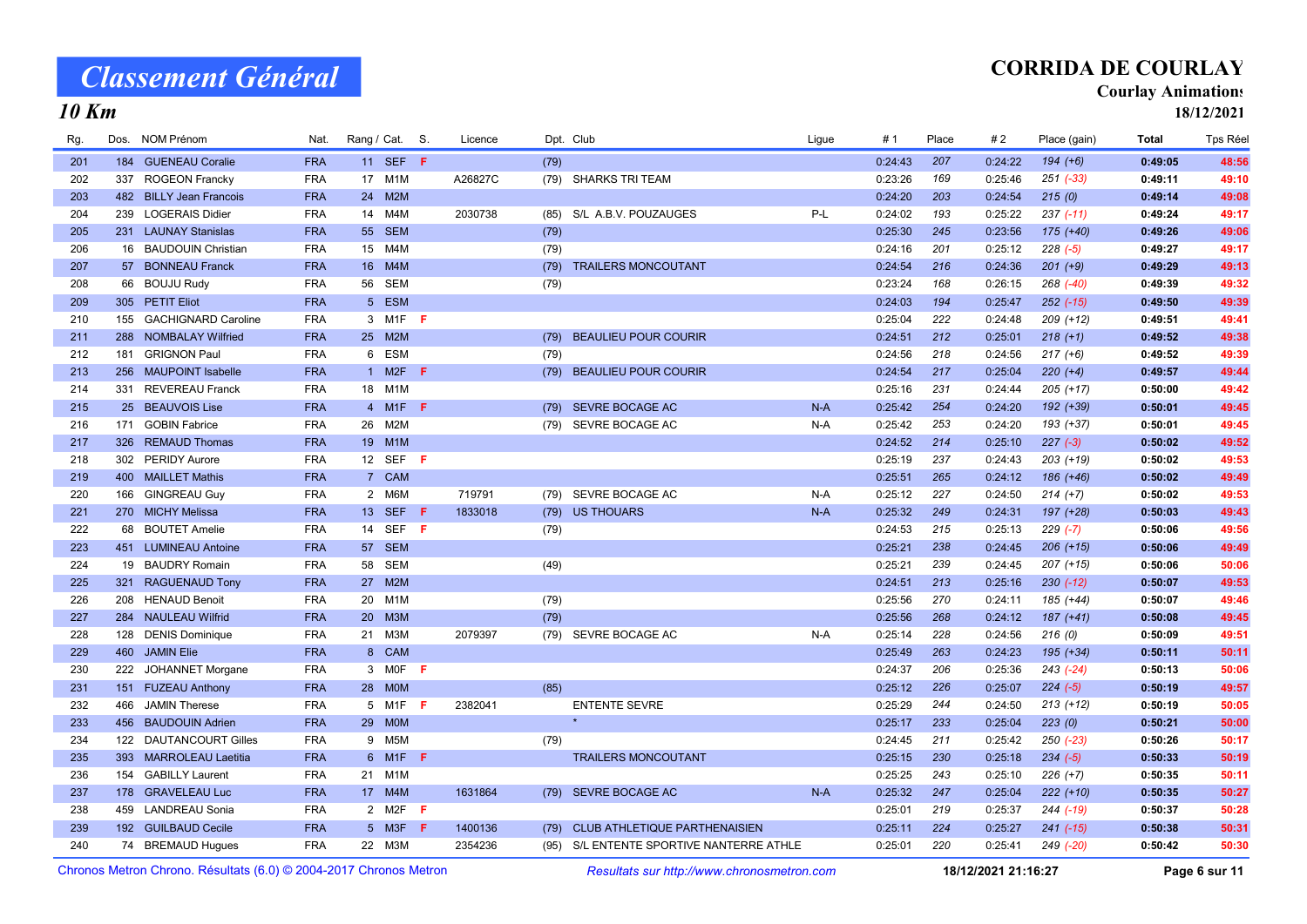10 Km

## CORRIDA DE COURLAY

#### Courlay Animations

18/12/2021

| Rg. |     | Dos. NOM Prénom         | Nat.       | Rang / Cat. S.  |                  |   | Licence |      | Dpt. Club                                | Ligue | #1      | Place | #2      | Place (gain)  | Total   | Tps Réel |
|-----|-----|-------------------------|------------|-----------------|------------------|---|---------|------|------------------------------------------|-------|---------|-------|---------|---------------|---------|----------|
| 201 |     | 184 GUENEAU Coralie     | <b>FRA</b> |                 | 11 SEF F         |   |         | (79) |                                          |       | 0:24:43 | 207   | 0:24:22 | $194 (+6)$    | 0:49:05 | 48:56    |
| 202 |     | 337 ROGEON Francky      | <b>FRA</b> |                 | 17 M1M           |   | A26827C |      | (79) SHARKS TRI TEAM                     |       | 0:23:26 | 169   | 0:25:46 | $251$ (-33)   | 0:49:11 | 49:10    |
| 203 |     | 482 BILLY Jean Francois | <b>FRA</b> | 24              | M2M              |   |         |      |                                          |       | 0:24:20 | 203   | 0:24:54 | 215(0)        | 0:49:14 | 49:08    |
| 204 |     | 239 LOGERAIS Didier     | <b>FRA</b> | 14              | M4M              |   | 2030738 |      | (85) S/L A.B.V. POUZAUGES                | $P-L$ | 0:24:02 | 193   | 0:25:22 | $237 (-11)$   | 0:49:24 | 49:17    |
| 205 |     | 231 LAUNAY Stanislas    | <b>FRA</b> |                 | 55 SEM           |   |         | (79) |                                          |       | 0:25:30 | 245   | 0:23:56 | $175 (+40)$   | 0:49:26 | 49:06    |
| 206 |     | 16 BAUDOUIN Christian   | <b>FRA</b> |                 | 15 M4M           |   |         | (79) |                                          |       | 0:24:16 | 201   | 0:25:12 | $228(-5)$     | 0:49:27 | 49:17    |
| 207 |     | 57 BONNEAU Franck       | <b>FRA</b> |                 | 16 M4M           |   |         | (79) | <b>TRAILERS MONCOUTANT</b>               |       | 0:24:54 | 216   | 0:24:36 | $201 (+9)$    | 0:49:29 | 49:13    |
| 208 |     | 66 BOUJU Rudy           | <b>FRA</b> | 56              | <b>SEM</b>       |   |         | (79) |                                          |       | 0:23:24 | 168   | 0:26:15 | $268$ $(-40)$ | 0:49:39 | 49:32    |
| 209 |     | 305 PETIT Eliot         | <b>FRA</b> | 5 <sup>5</sup>  | <b>ESM</b>       |   |         |      |                                          |       | 0:24:03 | 194   | 0:25:47 | $252 (-15)$   | 0:49:50 | 49:39    |
| 210 |     | 155 GACHIGNARD Caroline | <b>FRA</b> |                 | 3 M1F <b>F</b>   |   |         |      |                                          |       | 0:25:04 | 222   | 0:24:48 | $209 (+12)$   | 0:49:51 | 49:41    |
| 211 |     | 288 NOMBALAY Wilfried   | <b>FRA</b> |                 | 25 M2M           |   |         | (79) | <b>BEAULIEU POUR COURIR</b>              |       | 0:24:51 | 212   | 0:25:01 | $218 (+1)$    | 0:49:52 | 49:38    |
| 212 |     | 181 GRIGNON Paul        | <b>FRA</b> | 6               | ESM              |   |         | (79) |                                          |       | 0:24:56 | 218   | 0:24:56 | $217 (+6)$    | 0:49:52 | 49:39    |
| 213 |     | 256 MAUPOINT Isabelle   | <b>FRA</b> | $\mathbf{1}$    | M2F              | F |         |      | (79) BEAULIEU POUR COURIR                |       | 0:24:54 | 217   | 0:25:04 | $220 (+4)$    | 0:49:57 | 49:44    |
| 214 |     | 331 REVEREAU Franck     | <b>FRA</b> | 18              | M1M              |   |         |      |                                          |       | 0:25:16 | 231   | 0:24:44 | $205 (+17)$   | 0:50:00 | 49:42    |
| 215 |     | 25 BEAUVOIS Lise        | <b>FRA</b> |                 | 4 M1F F          |   |         | (79) | <b>SEVRE BOCAGE AC</b>                   | $N-A$ | 0:25:42 | 254   | 0:24:20 | 192 (+39)     | 0:50:01 | 49:45    |
| 216 |     | 171 GOBIN Fabrice       | <b>FRA</b> | 26              | M2M              |   |         |      | (79) SEVRE BOCAGE AC                     | N-A   | 0:25:42 | 253   | 0:24:20 | 193 (+37)     | 0:50:01 | 49:45    |
| 217 |     | 326 REMAUD Thomas       | <b>FRA</b> |                 | 19 M1M           |   |         |      |                                          |       | 0:24:52 | 214   | 0:25:10 | $227 (-3)$    | 0:50:02 | 49:52    |
| 218 |     | 302 PERIDY Aurore       | <b>FRA</b> | 12              | SEF F            |   |         |      |                                          |       | 0:25:19 | 237   | 0:24:43 | $203 (+19)$   | 0:50:02 | 49:53    |
| 219 |     | 400 MAILLET Mathis      | <b>FRA</b> |                 | 7 CAM            |   |         |      |                                          |       | 0:25:51 | 265   | 0:24:12 | 186 (+46)     | 0:50:02 | 49:49    |
| 220 |     | 166 GINGREAU Guy        | <b>FRA</b> |                 | 2 M6M            |   | 719791  |      | (79) SEVRE BOCAGE AC                     | $N-A$ | 0:25:12 | 227   | 0:24:50 | $214 (+7)$    | 0:50:02 | 49:53    |
| 221 |     | 270 MICHY Melissa       | <b>FRA</b> |                 | 13 SEF <b>F</b>  |   | 1833018 |      | (79) US THOUARS                          | $N-A$ | 0:25:32 | 249   | 0:24:31 | 197 (+28)     | 0:50:03 | 49:43    |
| 222 |     | 68 BOUTET Amelie        | <b>FRA</b> | 14              | SEF F            |   |         | (79) |                                          |       | 0:24:53 | 215   | 0:25:13 | $229$ (-7)    | 0:50:06 | 49:56    |
| 223 |     | 451 LUMINEAU Antoine    | <b>FRA</b> |                 | 57 SEM           |   |         |      |                                          |       | 0:25:21 | 238   | 0:24:45 | $206 (+15)$   | 0:50:06 | 49:49    |
| 224 |     | 19 BAUDRY Romain        | <b>FRA</b> | 58              | <b>SEM</b>       |   |         | (49) |                                          |       | 0:25:21 | 239   | 0:24:45 | $207 (+15)$   | 0:50:06 | 50:06    |
| 225 |     | 321 RAGUENAUD Tony      | <b>FRA</b> |                 | 27 M2M           |   |         |      |                                          |       | 0:24:51 | 213   | 0:25:16 | $230 (-12)$   | 0:50:07 | 49:53    |
| 226 |     | 208 HENAUD Benoit       | <b>FRA</b> |                 | 20 M1M           |   |         | (79) |                                          |       | 0:25:56 | 270   | 0:24:11 | 185 (+44)     | 0:50:07 | 49:46    |
| 227 |     | 284 NAULEAU Wilfrid     | <b>FRA</b> | 20 <sup>2</sup> | M3M              |   |         | (79) |                                          |       | 0:25:56 | 268   | 0:24:12 | $187 (+41)$   | 0:50:08 | 49:45    |
| 228 |     | 128 DENIS Dominique     | <b>FRA</b> |                 | 21 M3M           |   | 2079397 |      | (79) SEVRE BOCAGE AC                     | $N-A$ | 0:25:14 | 228   | 0:24:56 | 216(0)        | 0:50:09 | 49:51    |
| 229 |     | 460 JAMIN Elie          | <b>FRA</b> |                 | 8 CAM            |   |         |      |                                          |       | 0:25:49 | 263   | 0:24:23 | $195 (+34)$   | 0:50:11 | 50:11    |
| 230 | 222 | <b>JOHANNET Morgane</b> | <b>FRA</b> | 3               | $MOF$ F          |   |         |      |                                          |       | 0:24:37 | 206   | 0:25:36 | $243 (-24)$   | 0:50:13 | 50:06    |
| 231 |     | 151 FUZEAU Anthony      | <b>FRA</b> |                 | 28 MOM           |   |         | (85) |                                          |       | 0:25:12 | 226   | 0:25:07 | $224 (-5)$    | 0:50:19 | 49:57    |
| 232 | 466 | <b>JAMIN Therese</b>    | <b>FRA</b> |                 | 5 M1F <b>F</b>   |   | 2382041 |      | <b>ENTENTE SEVRE</b>                     |       | 0:25:29 | 244   | 0:24:50 | $213 (+12)$   | 0:50:19 | 50:05    |
| 233 |     | 456 BAUDOUIN Adrien     | <b>FRA</b> |                 | 29 MOM           |   |         |      | $\star$                                  |       | 0:25:17 | 233   | 0:25:04 | 223(0)        | 0:50:21 | 50:00    |
| 234 |     | 122 DAUTANCOURT Gilles  | <b>FRA</b> | 9               | M <sub>5</sub> M |   |         | (79) |                                          |       | 0:24:45 | 211   | 0:25:42 | $250(-23)$    | 0:50:26 | 50:17    |
| 235 |     | 393 MARROLEAU Laetitia  | <b>FRA</b> | $6^{\circ}$     | M1F              | F |         |      | <b>TRAILERS MONCOUTANT</b>               |       | 0:25:15 | 230   | 0:25:18 | $234 (-5)$    | 0:50:33 | 50:19    |
| 236 |     | 154 GABILLY Laurent     | <b>FRA</b> | 21              | M1M              |   |         |      |                                          |       | 0:25:25 | 243   | 0:25:10 | $226 (+7)$    | 0:50:35 | 50:11    |
| 237 |     | 178 GRAVELEAU Luc       | <b>FRA</b> |                 | 17 M4M           |   | 1631864 |      | (79) SEVRE BOCAGE AC                     | $N-A$ | 0:25:32 | 247   | 0:25:04 | $222 (+10)$   | 0:50:35 | 50:27    |
| 238 |     | 459 LANDREAU Sonia      | <b>FRA</b> |                 | 2 M2F $F$        |   |         |      |                                          |       | 0:25:01 | 219   | 0:25:37 | 244 (-19)     | 0:50:37 | 50:28    |
| 239 |     | 192 GUILBAUD Cecile     | <b>FRA</b> |                 | 5 M3F <b>F</b>   |   | 1400136 |      | (79) CLUB ATHLETIQUE PARTHENAISIEN       |       | 0:25:11 | 224   | 0:25:27 | $241 (-15)$   | 0:50:38 | 50:31    |
| 240 |     | 74 BREMAUD Hugues       | <b>FRA</b> |                 | 22 M3M           |   | 2354236 |      | (95) S/L ENTENTE SPORTIVE NANTERRE ATHLE |       | 0:25:01 | 220   | 0:25:41 | 249 (-20)     | 0:50:42 | 50:30    |

Chronos Metron Chrono. Résultats (6.0) © 2004-2017 Chronos Metron Resultats sur http://www.chronosmetron.com 18/12/2021 21:16:27 Page 6 sur 11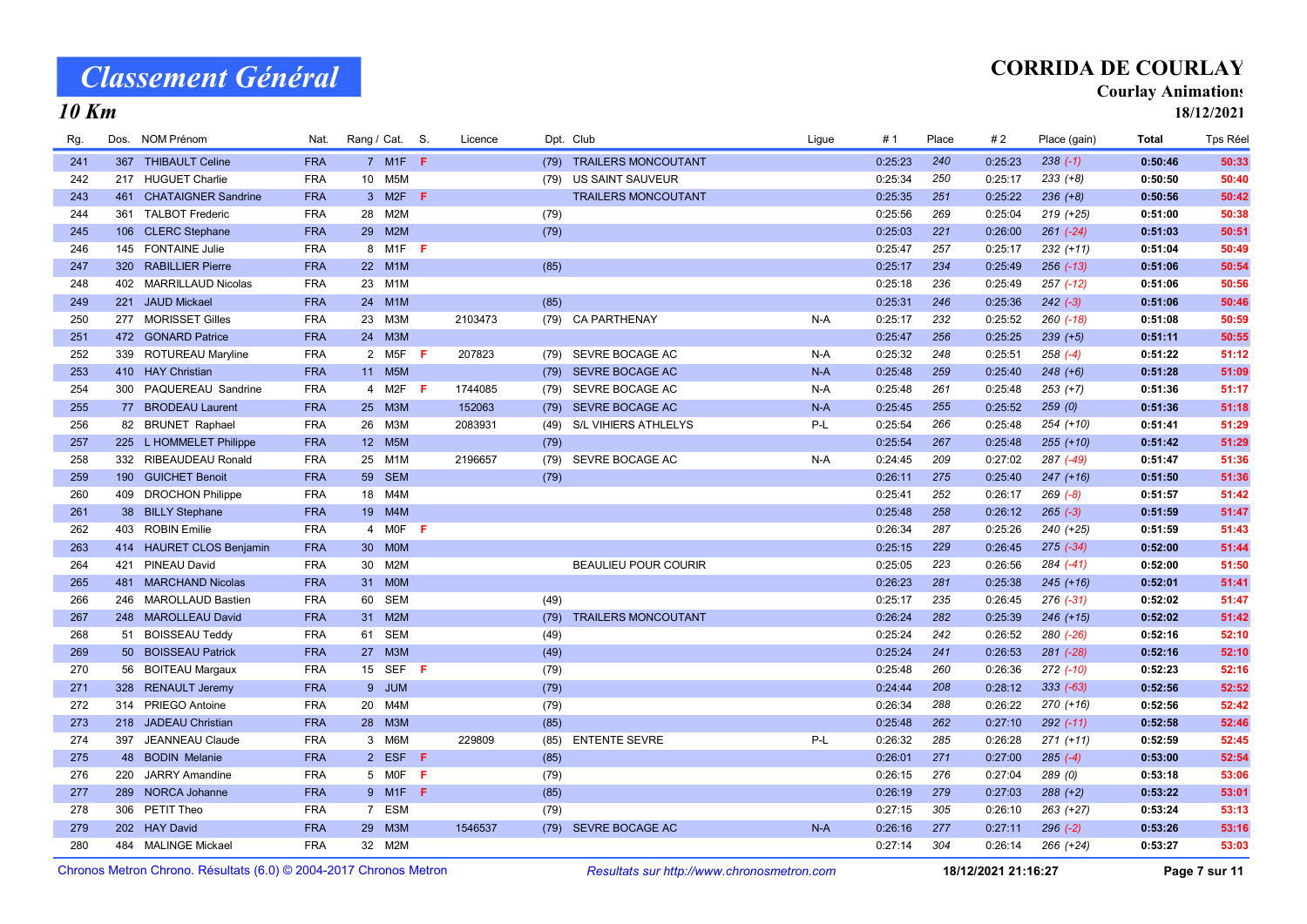10 Km

## CORRIDA DE COURLAY

#### Courlay Animations

18/12/2021

| Rg. |     | Dos. NOM Prénom          | Nat.       | Rang / Cat. S.                |     | Licence |      | Dpt. Club                   | Ligue | #1      | Place | # 2     | Place (gain)  | <b>Total</b> | <b>Tps Réel</b> |
|-----|-----|--------------------------|------------|-------------------------------|-----|---------|------|-----------------------------|-------|---------|-------|---------|---------------|--------------|-----------------|
| 241 |     | 367 THIBAULT Celine      | <b>FRA</b> | $7$ M <sub>1</sub> F $F$      |     |         |      | (79) TRAILERS MONCOUTANT    |       | 0:25:23 | 240   | 0:25:23 | $238(-1)$     | 0:50:46      | 50:33           |
| 242 |     | 217 HUGUET Charlie       | <b>FRA</b> | 10 M5M                        |     |         | (79) | US SAINT SAUVEUR            |       | 0:25:34 | 250   | 0:25:17 | $233 (+8)$    | 0:50:50      | 50:40           |
| 243 |     | 461 CHATAIGNER Sandrine  | <b>FRA</b> | 3 M2F <b>F</b>                |     |         |      | <b>TRAILERS MONCOUTANT</b>  |       | 0:25:35 | 251   | 0:25:22 | $236 (+8)$    | 0:50:56      | 50:42           |
| 244 |     | 361 TALBOT Frederic      | <b>FRA</b> | M <sub>2</sub> M<br>28        |     |         | (79) |                             |       | 0:25:56 | 269   | 0:25:04 | $219 (+25)$   | 0:51:00      | 50:38           |
| 245 |     | 106 CLERC Stephane       | <b>FRA</b> | M2M<br>29                     |     |         | (79) |                             |       | 0:25:03 | 221   | 0:26:00 | $261 (-24)$   | 0:51:03      | 50:51           |
| 246 |     | 145 FONTAINE Julie       | <b>FRA</b> | 8 M1F F                       |     |         |      |                             |       | 0:25:47 | 257   | 0:25:17 | $232 (+11)$   | 0:51:04      | 50:49           |
| 247 | 320 | <b>RABILLIER Pierre</b>  | <b>FRA</b> | 22 M1M                        |     |         | (85) |                             |       | 0:25:17 | 234   | 0:25:49 | $256$ $(-13)$ | 0:51:06      | 50:54           |
| 248 |     | 402 MARRILLAUD Nicolas   | <b>FRA</b> | 23<br>M1M                     |     |         |      |                             |       | 0:25:18 | 236   | 0:25:49 | $257$ $(-12)$ | 0:51:06      | 50:56           |
| 249 |     | 221 JAUD Mickael         | <b>FRA</b> | 24 M1M                        |     |         | (85) |                             |       | 0:25:31 | 246   | 0:25:36 | $242 (-3)$    | 0:51:06      | 50:46           |
| 250 |     | 277 MORISSET Gilles      | <b>FRA</b> | 23<br>МЗМ                     |     | 2103473 |      | (79) CA PARTHENAY           | $N-A$ | 0:25:17 | 232   | 0:25:52 | $260$ $(-18)$ | 0:51:08      | 50:59           |
| 251 |     | 472 GONARD Patrice       | <b>FRA</b> | 24 M3M                        |     |         |      |                             |       | 0:25:47 | 256   | 0:25:25 | $239 (+5)$    | 0:51:11      | 50:55           |
| 252 |     | 339 ROTUREAU Maryline    | <b>FRA</b> | 2 M <sub>5</sub> F            | - F | 207823  | (79) | SEVRE BOCAGE AC             | $N-A$ | 0:25:32 | 248   | 0:25:51 | $258(-4)$     | 0:51:22      | 51:12           |
| 253 |     | 410 HAY Christian        | <b>FRA</b> | 11 M5M                        |     |         | (79) | SEVRE BOCAGE AC             | $N-A$ | 0:25:48 | 259   | 0:25:40 | $248 (+6)$    | 0:51:28      | 51:09           |
| 254 |     | 300 PAQUEREAU Sandrine   | <b>FRA</b> | 4 M2F                         | - F | 1744085 |      | (79) SEVRE BOCAGE AC        | $N-A$ | 0:25:48 | 261   | 0:25:48 | $253 (+7)$    | 0:51:36      | 51:17           |
| 255 |     | 77 BRODEAU Laurent       | <b>FRA</b> | M3M<br>25                     |     | 152063  | (79) | SEVRE BOCAGE AC             | $N-A$ | 0:25:45 | 255   | 0:25:52 | 259(0)        | 0:51:36      | 51:18           |
| 256 |     | 82 BRUNET Raphael        | <b>FRA</b> | 26<br>МЗМ                     |     | 2083931 | (49) | <b>S/L VIHIERS ATHLELYS</b> | P-L   | 0:25:54 | 266   | 0:25:48 | 254 (+10)     | 0:51:41      | 51:29           |
| 257 |     | 225 L HOMMELET Philippe  | <b>FRA</b> | 12 M5M                        |     |         | (79) |                             |       | 0:25:54 | 267   | 0:25:48 | $255 (+10)$   | 0:51:42      | 51:29           |
| 258 |     | 332 RIBEAUDEAU Ronald    | <b>FRA</b> | 25<br>M1M                     |     | 2196657 | (79) | SEVRE BOCAGE AC             | $N-A$ | 0:24:45 | 209   | 0:27:02 | 287 (-49)     | 0:51:47      | 51:36           |
| 259 |     | 190 GUICHET Benoit       | <b>FRA</b> | 59<br><b>SEM</b>              |     |         | (79) |                             |       | 0:26:11 | 275   | 0:25:40 | $247 (+16)$   | 0:51:50      | 51:36           |
| 260 |     | 409 DROCHON Philippe     | <b>FRA</b> | M4M<br>18                     |     |         |      |                             |       | 0:25:41 | 252   | 0:26:17 | $269 (-8)$    | 0:51:57      | 51:42           |
| 261 |     | 38 BILLY Stephane        | <b>FRA</b> | 19 M4M                        |     |         |      |                             |       | 0:25:48 | 258   | 0:26:12 | $265 (-3)$    | 0:51:59      | 51:47           |
| 262 |     | 403 ROBIN Emilie         | <b>FRA</b> | 4 MOF F                       |     |         |      |                             |       | 0:26:34 | 287   | 0:25:26 | 240 (+25)     | 0:51:59      | 51:43           |
| 263 |     | 414 HAURET CLOS Benjamin | <b>FRA</b> | <b>MOM</b><br>30 <sup>°</sup> |     |         |      |                             |       | 0:25:15 | 229   | 0:26:45 | $275$ $(-34)$ | 0:52:00      | 51:44           |
| 264 |     | 421 PINEAU David         | <b>FRA</b> | M2M<br>30                     |     |         |      | <b>BEAULIEU POUR COURIR</b> |       | 0:25:05 | 223   | 0:26:56 | 284 (-41)     | 0:52:00      | 51:50           |
| 265 |     | 481 MARCHAND Nicolas     | <b>FRA</b> | 31<br><b>MOM</b>              |     |         |      |                             |       | 0:26:23 | 281   | 0:25:38 | $245 (+16)$   | 0:52:01      | 51:41           |
| 266 | 246 | MAROLLAUD Bastien        | <b>FRA</b> | <b>SEM</b><br>60              |     |         | (49) |                             |       | 0:25:17 | 235   | 0:26:45 | $276$ $(-31)$ | 0:52:02      | 51:47           |
| 267 |     | 248 MAROLLEAU David      | <b>FRA</b> | 31 M2M                        |     |         | (79) | <b>TRAILERS MONCOUTANT</b>  |       | 0:26:24 | 282   | 0:25:39 | $246 (+15)$   | 0:52:02      | 51:42           |
| 268 |     | 51 BOISSEAU Teddy        | <b>FRA</b> | <b>SEM</b><br>61              |     |         | (49) |                             |       | 0:25:24 | 242   | 0:26:52 | $280 (-26)$   | 0:52:16      | 52:10           |
| 269 |     | 50 BOISSEAU Patrick      | <b>FRA</b> | 27<br>M3M                     |     |         | (49) |                             |       | 0:25:24 | 241   | 0:26:53 | 281 (-28)     | 0:52:16      | 52:10           |
| 270 |     | 56 BOITEAU Margaux       | <b>FRA</b> | <b>SEF</b><br>15              | F.  |         | (79) |                             |       | 0:25:48 | 260   | 0:26:36 | $272$ (-10)   | 0:52:23      | 52:16           |
| 271 |     | 328 RENAULT Jeremy       | <b>FRA</b> | 9 JUM                         |     |         | (79) |                             |       | 0:24:44 | 208   | 0:28:12 | $333 (-63)$   | 0:52:56      | 52:52           |
| 272 |     | 314 PRIEGO Antoine       | <b>FRA</b> | 20 M4M                        |     |         | (79) |                             |       | 0:26:34 | 288   | 0:26:22 | $270 (+16)$   | 0:52:56      | 52:42           |
| 273 |     | 218 JADEAU Christian     | <b>FRA</b> | 28 M3M                        |     |         | (85) |                             |       | 0:25:48 | 262   | 0:27:10 | $292$ $(-11)$ | 0:52:58      | 52:46           |
| 274 |     | 397 JEANNEAU Claude      | <b>FRA</b> | 3 M6M                         |     | 229809  | (85) | <b>ENTENTE SEVRE</b>        | P-L   | 0:26:32 | 285   | 0:26:28 | $271 (+11)$   | 0:52:59      | 52:45           |
| 275 |     | 48 BODIN Melanie         | <b>FRA</b> | 2 ESF F                       |     |         | (85) |                             |       | 0:26:01 | 271   | 0:27:00 | $285 (-4)$    | 0:53:00      | 52:54           |
| 276 | 220 | <b>JARRY Amandine</b>    | <b>FRA</b> | 5 MOF                         | F   |         | (79) |                             |       | 0:26:15 | 276   | 0:27:04 | 289 (0)       | 0:53:18      | 53:06           |
| 277 |     | 289 NORCA Johanne        | <b>FRA</b> | 9 M1F                         | - F |         | (85) |                             |       | 0:26:19 | 279   | 0:27:03 | $288 (+2)$    | 0:53:22      | 53:01           |
| 278 |     | 306 PETIT Theo           | <b>FRA</b> | 7 ESM                         |     |         | (79) |                             |       | 0:27:15 | 305   | 0:26:10 | 263 (+27)     | 0:53:24      | 53:13           |
| 279 |     | 202 HAY David            | <b>FRA</b> | M3M<br>29                     |     | 1546537 | (79) | SEVRE BOCAGE AC             | $N-A$ | 0:26:16 | 277   | 0:27:11 | $296 (-2)$    | 0:53:26      | 53:16           |
| 280 |     | 484 MALINGE Mickael      | <b>FRA</b> | 32 M2M                        |     |         |      |                             |       | 0:27:14 | 304   | 0:26:14 | $266 (+24)$   | 0:53:27      | 53:03           |

Chronos Metron Chrono. Résultats (6.0) © 2004-2017 Chronos Metron Resultats sur http://www.chronosmetron.com 18/12/2021 21:16:27 Page 7 sur 11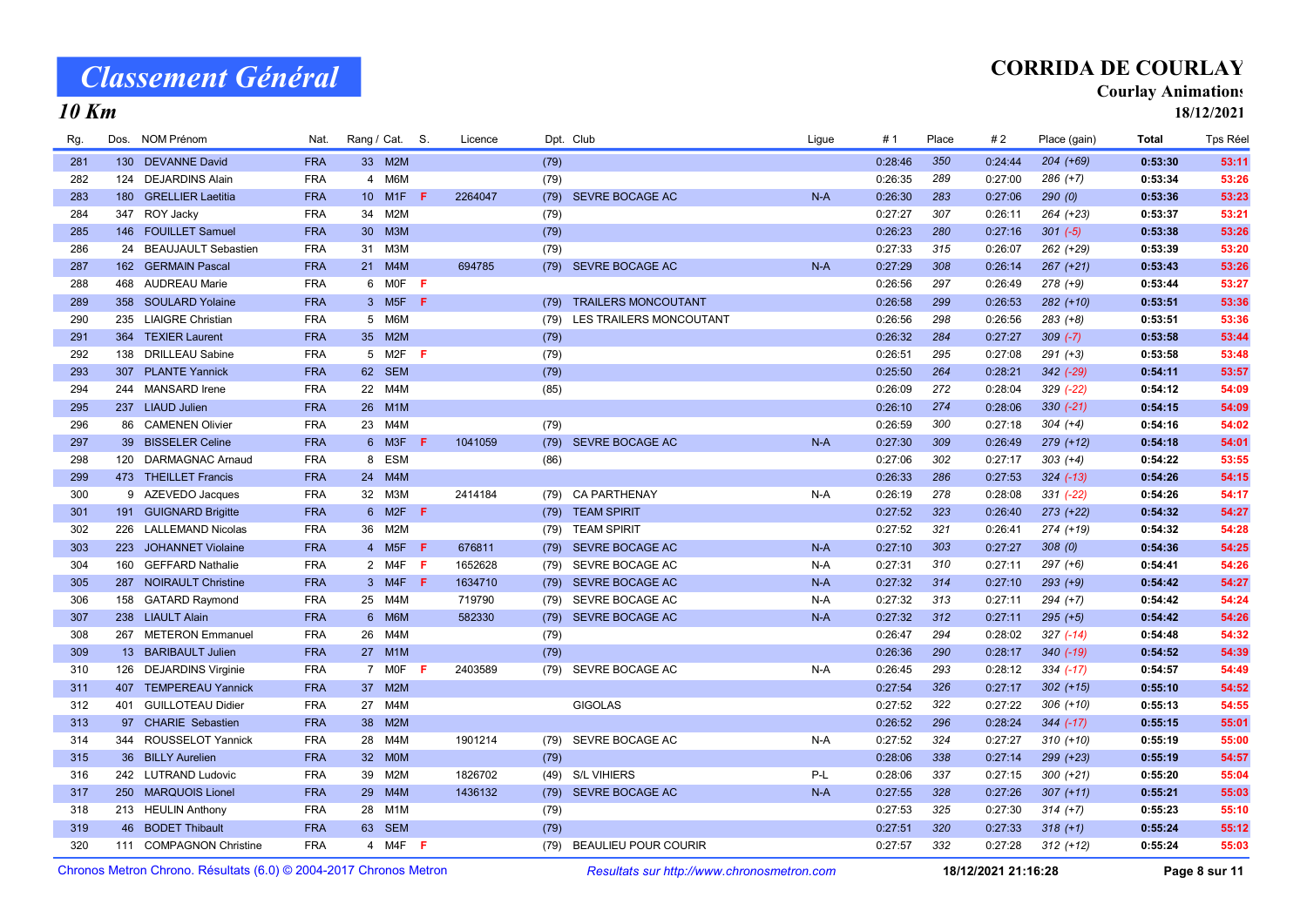## CORRIDA DE COURLAY

#### Courlay Animations

18/12/2021

### 10 Km

| Rg. |     | Dos. NOM Prénom          | Nat.       | Rang / Cat. S.  |                             |     | Licence |      | Dpt. Club                    | Ligue | #1      | Place | #2      | Place (gain)  | Total   | Tps Réel |
|-----|-----|--------------------------|------------|-----------------|-----------------------------|-----|---------|------|------------------------------|-------|---------|-------|---------|---------------|---------|----------|
| 281 |     | 130 DEVANNE David        | <b>FRA</b> |                 | 33 M2M                      |     |         | (79) |                              |       | 0:28:46 | 350   | 0:24:44 | $204 (+69)$   | 0:53:30 | 53:11    |
| 282 |     | 124 DEJARDINS Alain      | <b>FRA</b> | 4               | M6M                         |     |         | (79) |                              |       | 0:26:35 | 289   | 0:27:00 | 286 (+7)      | 0:53:34 | 53:26    |
| 283 |     | 180 GRELLIER Laetitia    | <b>FRA</b> |                 | 10 M1F                      | - F | 2264047 | (79) | SEVRE BOCAGE AC              | $N-A$ | 0:26:30 | 283   | 0:27:06 | 290(0)        | 0:53:36 | 53:23    |
| 284 |     | 347 ROY Jacky            | <b>FRA</b> | 34              | M2M                         |     |         | (79) |                              |       | 0:27:27 | 307   | 0:26:11 | 264 (+23)     | 0:53:37 | 53:21    |
| 285 |     | 146 FOUILLET Samuel      | <b>FRA</b> | 30 <sup>°</sup> | M3M                         |     |         | (79) |                              |       | 0:26:23 | 280   | 0:27:16 | $301 (-5)$    | 0:53:38 | 53:26    |
| 286 |     | 24 BEAUJAULT Sebastien   | <b>FRA</b> | 31              | M3M                         |     |         | (79) |                              |       | 0:27:33 | 315   | 0:26:07 | 262 (+29)     | 0:53:39 | 53:20    |
| 287 |     | 162 GERMAIN Pascal       | <b>FRA</b> |                 | 21 M4M                      |     | 694785  | (79) | SEVRE BOCAGE AC              | $N-A$ | 0:27:29 | 308   | 0:26:14 | $267 (+21)$   | 0:53:43 | 53:26    |
| 288 |     | 468 AUDREAU Marie        | <b>FRA</b> |                 | 6 MOF F                     |     |         |      |                              |       | 0:26:56 | 297   | 0:26:49 | $278 (+9)$    | 0:53:44 | 53:27    |
| 289 |     | 358 SOULARD Yolaine      | <b>FRA</b> |                 | 3 M <sub>5</sub> F <b>F</b> |     |         | (79) | <b>TRAILERS MONCOUTANT</b>   |       | 0:26:58 | 299   | 0:26:53 | $282 (+10)$   | 0:53:51 | 53:36    |
| 290 |     | 235 LIAIGRE Christian    | <b>FRA</b> |                 | 5 M6M                       |     |         |      | (79) LES TRAILERS MONCOUTANT |       | 0:26:56 | 298   | 0:26:56 | $283 (+8)$    | 0:53:51 | 53:36    |
| 291 |     | 364 TEXIER Laurent       | <b>FRA</b> | 35              | M2M                         |     |         | (79) |                              |       | 0:26:32 | 284   | 0:27:27 | $309 (-7)$    | 0:53:58 | 53:44    |
| 292 | 138 | <b>DRILLEAU Sabine</b>   | <b>FRA</b> | 5 <sup>5</sup>  | $M2F$ F                     |     |         | (79) |                              |       | 0:26:51 | 295   | 0:27:08 | $291 (+3)$    | 0:53:58 | 53:48    |
| 293 |     | 307 PLANTE Yannick       | <b>FRA</b> |                 | 62 SEM                      |     |         | (79) |                              |       | 0:25:50 | 264   | 0:28:21 | 342 (-29)     | 0:54:11 | 53:57    |
| 294 |     | 244 MANSARD Irene        | <b>FRA</b> | 22              | M4M                         |     |         | (85) |                              |       | 0:26:09 | 272   | 0:28:04 | 329 (-22)     | 0:54:12 | 54:09    |
| 295 |     | 237 LIAUD Julien         | <b>FRA</b> | 26              | M <sub>1</sub> M            |     |         |      |                              |       | 0:26:10 | 274   | 0:28:06 | $330 (-21)$   | 0:54:15 | 54:09    |
| 296 |     | 86 CAMENEN Olivier       | <b>FRA</b> | 23              | M4M                         |     |         | (79) |                              |       | 0:26:59 | 300   | 0:27:18 | $304 (+4)$    | 0:54:16 | 54:02    |
| 297 |     | 39 BISSELER Celine       | <b>FRA</b> |                 | 6 M3F                       | - F | 1041059 | (79) | SEVRE BOCAGE AC              | $N-A$ | 0:27:30 | 309   | 0:26:49 | $279 (+12)$   | 0:54:18 | 54:01    |
| 298 |     | 120 DARMAGNAC Arnaud     | <b>FRA</b> | 8               | <b>ESM</b>                  |     |         | (86) |                              |       | 0:27:06 | 302   | 0:27:17 | $303 (+4)$    | 0:54:22 | 53:55    |
| 299 |     | 473 THEILLET Francis     | <b>FRA</b> | 24              | M4M                         |     |         |      |                              |       | 0:26:33 | 286   | 0:27:53 | $324$ $(-13)$ | 0:54:26 | 54:15    |
| 300 |     | 9 AZEVEDO Jacques        | <b>FRA</b> | 32              | МЗМ                         |     | 2414184 | (79) | <b>CA PARTHENAY</b>          | N-A   | 0:26:19 | 278   | 0:28:08 | $331 (-22)$   | 0:54:26 | 54:17    |
| 301 |     | 191 GUIGNARD Brigitte    | <b>FRA</b> |                 | 6 M2F                       | F.  |         | (79) | <b>TEAM SPIRIT</b>           |       | 0:27:52 | 323   | 0:26:40 | $273 (+22)$   | 0:54:32 | 54:27    |
| 302 | 226 | <b>LALLEMAND Nicolas</b> | <b>FRA</b> | 36              | M2M                         |     |         | (79) | <b>TEAM SPIRIT</b>           |       | 0:27:52 | 321   | 0:26:41 | 274 (+19)     | 0:54:32 | 54:28    |
| 303 |     | 223 JOHANNET Violaine    | <b>FRA</b> |                 | 4 M <sub>5</sub> F          | -F  | 676811  | (79) | SEVRE BOCAGE AC              | $N-A$ | 0:27:10 | 303   | 0:27:27 | 308(0)        | 0:54:36 | 54:25    |
| 304 |     | 160 GEFFARD Nathalie     | <b>FRA</b> |                 | 2 M4F                       | F   | 1652628 | (79) | SEVRE BOCAGE AC              | N-A   | 0:27:31 | 310   | 0:27:11 | $297 (+6)$    | 0:54:41 | 54:26    |
| 305 |     | 287 NOIRAULT Christine   | <b>FRA</b> |                 | 3 M4F <b>F</b>              |     | 1634710 |      | (79) SEVRE BOCAGE AC         | $N-A$ | 0:27:32 | 314   | 0:27:10 | $293 (+9)$    | 0:54:42 | 54:27    |
| 306 |     | 158 GATARD Raymond       | <b>FRA</b> | 25              | M4M                         |     | 719790  | (79) | SEVRE BOCAGE AC              | N-A   | 0:27:32 | 313   | 0:27:11 | $294 (+7)$    | 0:54:42 | 54:24    |
| 307 |     | 238 LIAULT Alain         | <b>FRA</b> |                 | 6 M6M                       |     | 582330  | (79) | SEVRE BOCAGE AC              | $N-A$ | 0:27:32 | 312   | 0:27:11 | $295 (+5)$    | 0:54:42 | 54:26    |
| 308 |     | 267 METERON Emmanuel     | <b>FRA</b> | 26              | M4M                         |     |         | (79) |                              |       | 0:26:47 | 294   | 0:28:02 | $327$ (-14)   | 0:54:48 | 54:32    |
| 309 |     | 13 BARIBAULT Julien      | <b>FRA</b> |                 | 27 M1M                      |     |         | (79) |                              |       | 0:26:36 | 290   | 0:28:17 | $340$ (-19)   | 0:54:52 | 54:39    |
| 310 |     | 126 DEJARDINS Virginie   | <b>FRA</b> | $\overline{7}$  | MOF                         | -F  | 2403589 |      | (79) SEVRE BOCAGE AC         | N-A   | 0:26:45 | 293   | 0:28:12 | $334 (-17)$   | 0:54:57 | 54:49    |
| 311 |     | 407 TEMPEREAU Yannick    | <b>FRA</b> | 37              | M2M                         |     |         |      |                              |       | 0:27:54 | 326   | 0:27:17 | $302 (+15)$   | 0:55:10 | 54:52    |
| 312 | 401 | <b>GUILLOTEAU Didier</b> | <b>FRA</b> | 27              | M4M                         |     |         |      | <b>GIGOLAS</b>               |       | 0:27:52 | 322   | 0:27:22 | $306 (+10)$   | 0:55:13 | 54:55    |
| 313 |     | 97 CHARIE Sebastien      | <b>FRA</b> | 38              | M2M                         |     |         |      |                              |       | 0:26:52 | 296   | 0:28:24 | $344 (-17)$   | 0:55:15 | 55:01    |
| 314 |     | 344 ROUSSELOT Yannick    | <b>FRA</b> | 28              | M4M                         |     | 1901214 | (79) | SEVRE BOCAGE AC              | $N-A$ | 0:27:52 | 324   | 0:27:27 | $310 (+10)$   | 0:55:19 | 55:00    |
| 315 |     | 36 BILLY Aurelien        | <b>FRA</b> | 32 <sup>2</sup> | <b>MOM</b>                  |     |         | (79) |                              |       | 0:28:06 | 338   | 0:27:14 | $299 (+23)$   | 0:55:19 | 54:57    |
| 316 |     | 242 LUTRAND Ludovic      | <b>FRA</b> | 39              | M2M                         |     | 1826702 | (49) | <b>S/L VIHIERS</b>           | P-L   | 0:28:06 | 337   | 0:27:15 | $300 (+21)$   | 0:55:20 | 55:04    |
| 317 |     | 250 MARQUOIS Lionel      | <b>FRA</b> | 29              | M4M                         |     | 1436132 | (79) | SEVRE BOCAGE AC              | $N-A$ | 0:27:55 | 328   | 0:27:26 | $307 (+11)$   | 0:55:21 | 55:03    |
| 318 |     | 213 HEULIN Anthony       | <b>FRA</b> | 28              | M1M                         |     |         | (79) |                              |       | 0:27:53 | 325   | 0:27:30 | $314 (+7)$    | 0:55:23 | 55:10    |
| 319 |     | 46 BODET Thibault        | <b>FRA</b> |                 | 63 SEM                      |     |         | (79) |                              |       | 0:27:51 | 320   | 0:27:33 | $318 (+1)$    | 0:55:24 | 55:12    |
| 320 |     | 111 COMPAGNON Christine  | <b>FRA</b> |                 | 4 M4F F                     |     |         | (79) | <b>BEAULIEU POUR COURIR</b>  |       | 0:27:57 | 332   | 0:27:28 | $312 (+12)$   | 0:55:24 | 55:03    |
|     |     |                          |            |                 |                             |     |         |      |                              |       |         |       |         |               |         |          |

Chronos Metron Chrono. Résultats (6.0) © 2004-2017 Chronos Metron Resultats sur http://www.chronosmetron.com 18/12/2021 21:16:28 Page 8 sur 11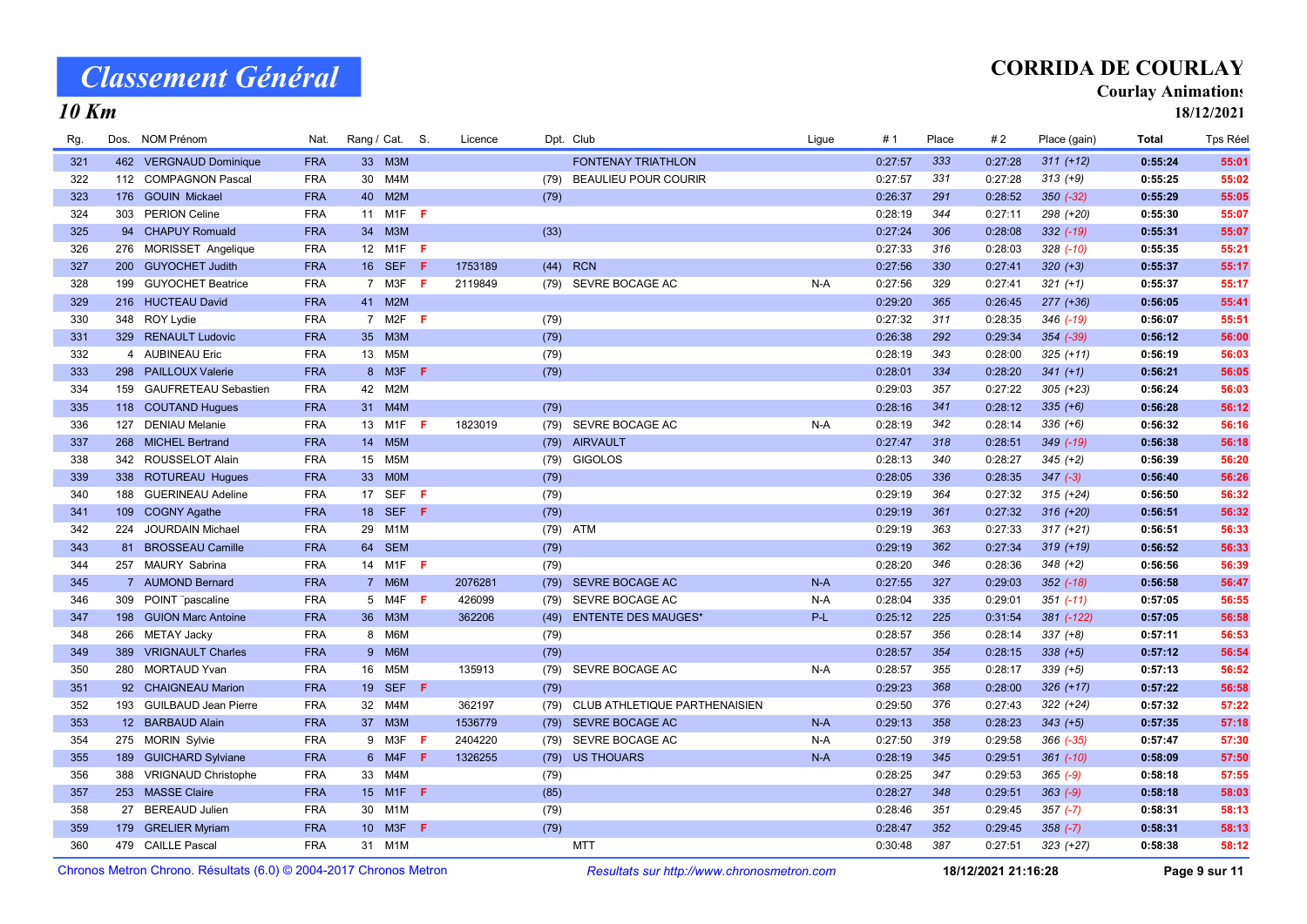## CORRIDA DE COURLAY

#### **Courlay Animations**

18/12/2021

| Rg. | Dos. | NOM Prénom                                                                                                                                                                                                                                                                                            | Nat.       |                 | Rang / Cat. S.   |     | Licence |      | Dpt. Club                     | Ligue | #1      | Place | #2      | Place (gain)  | <b>Total</b> | Tps Réel |
|-----|------|-------------------------------------------------------------------------------------------------------------------------------------------------------------------------------------------------------------------------------------------------------------------------------------------------------|------------|-----------------|------------------|-----|---------|------|-------------------------------|-------|---------|-------|---------|---------------|--------------|----------|
| 321 |      | 462 VERGNAUD Dominique                                                                                                                                                                                                                                                                                | <b>FRA</b> |                 | 33 M3M           |     |         |      | <b>FONTENAY TRIATHLON</b>     |       | 0:27:57 | 333   | 0:27:28 | $311 (+12)$   | 0:55:24      | 55:01    |
| 322 |      | 112 COMPAGNON Pascal                                                                                                                                                                                                                                                                                  | <b>FRA</b> | 30              | M4M              |     |         | (79) | <b>BEAULIEU POUR COURIR</b>   |       | 0:27:57 | 331   | 0:27:28 | $313 (+9)$    | 0:55:25      | 55:02    |
| 323 |      | 176 GOUIN Mickael                                                                                                                                                                                                                                                                                     | <b>FRA</b> |                 | 40 M2M           |     |         | (79) |                               |       | 0:26:37 | 291   | 0:28:52 | $350 (-32)$   | 0:55:29      | 55:05    |
| 324 |      | 303 PERION Celine                                                                                                                                                                                                                                                                                     | <b>FRA</b> |                 | 11 M1F <b>F</b>  |     |         |      |                               |       | 0:28:19 | 344   | 0:27:11 | 298 (+20)     | 0:55:30      | 55:07    |
| 325 |      | 94 CHAPUY Romuald                                                                                                                                                                                                                                                                                     | <b>FRA</b> | 34              | M3M              |     |         | (33) |                               |       | 0:27:24 | 306   | 0:28:08 | $332$ $(-19)$ | 0:55:31      | 55:07    |
| 326 |      | 276 MORISSET Angelique                                                                                                                                                                                                                                                                                | <b>FRA</b> | 12              | M1F              | - F |         |      |                               |       | 0:27:33 | 316   | 0:28:03 | $328$ $(-10)$ | 0:55:35      | 55:21    |
| 327 |      | 200 GUYOCHET Judith                                                                                                                                                                                                                                                                                   | <b>FRA</b> |                 | 16 SEF           | F   | 1753189 | (44) | <b>RCN</b>                    |       | 0:27:56 | 330   | 0:27:41 | $320 (+3)$    | 0:55:37      | 55:17    |
| 328 |      | 199 GUYOCHET Beatrice                                                                                                                                                                                                                                                                                 | <b>FRA</b> |                 | 7 M3F            | - F | 2119849 |      | (79) SEVRE BOCAGE AC          | $N-A$ | 0:27:56 | 329   | 0:27:41 | $321 (+1)$    | 0:55:37      | 55:17    |
| 329 |      | 216 HUCTEAU David                                                                                                                                                                                                                                                                                     | <b>FRA</b> |                 | 41 M2M           |     |         |      |                               |       | 0:29:20 | 365   | 0:26:45 | $277 (+36)$   | 0:56:05      | 55:41    |
| 330 |      | 348 ROY Lydie                                                                                                                                                                                                                                                                                         | <b>FRA</b> |                 | 7 M2F <b>F</b>   |     |         | (79) |                               |       | 0:27:32 | 311   | 0:28:35 | 346 (-19)     | 0:56:07      | 55:51    |
| 331 |      | 329 RENAULT Ludovic                                                                                                                                                                                                                                                                                   | <b>FRA</b> | 35 <sup>5</sup> | M3M              |     |         | (79) |                               |       | 0:26:38 | 292   | 0:29:34 | 354 (-39)     | 0:56:12      | 56:00    |
| 332 |      | 4 AUBINEAU Eric                                                                                                                                                                                                                                                                                       | <b>FRA</b> |                 | 13 M5M           |     |         | (79) |                               |       | 0:28:19 | 343   | 0:28:00 | $325 (+11)$   | 0:56:19      | 56:03    |
| 333 |      | 298 PAILLOUX Valerie                                                                                                                                                                                                                                                                                  | <b>FRA</b> |                 | 8 M3F            | F   |         | (79) |                               |       | 0:28:01 | 334   | 0:28:20 | $341 (+1)$    | 0:56:21      | 56:05    |
| 334 |      | 159 GAUFRETEAU Sebastien                                                                                                                                                                                                                                                                              | <b>FRA</b> | 42              | M <sub>2</sub> M |     |         |      |                               |       | 0:29:03 | 357   | 0:27:22 | $305 (+23)$   | 0:56:24      | 56:03    |
| 335 |      | 118 COUTAND Hugues                                                                                                                                                                                                                                                                                    | <b>FRA</b> |                 | 31 M4M           |     |         | (79) |                               |       | 0:28:16 | 341   | 0:28:12 | $335 (+6)$    | 0:56:28      | 56:12    |
| 336 | 127  | <b>DENIAU Melanie</b>                                                                                                                                                                                                                                                                                 | <b>FRA</b> | 13              | M1F              | -F  | 1823019 | (79) | SEVRE BOCAGE AC               | N-A   | 0:28:19 | 342   | 0:28:14 | $336 (+6)$    | 0:56:32      | 56:16    |
| 337 |      | 268 MICHEL Bertrand                                                                                                                                                                                                                                                                                   | <b>FRA</b> |                 | 14 M5M           |     |         | (79) | <b>AIRVAULT</b>               |       | 0:27:47 | 318   | 0:28:51 | 349 (-19)     | 0:56:38      | 56:18    |
| 338 |      | 342 ROUSSELOT Alain                                                                                                                                                                                                                                                                                   | <b>FRA</b> | 15              | M <sub>5</sub> M |     |         | (79) | <b>GIGOLOS</b>                |       | 0:28:13 | 340   | 0:28:27 | $345 (+2)$    | 0:56:39      | 56:20    |
| 339 |      | 338 ROTUREAU Hugues                                                                                                                                                                                                                                                                                   | <b>FRA</b> | 33              | <b>MOM</b>       |     |         | (79) |                               |       | 0:28:05 | 336   | 0:28:35 | $347 (-3)$    | 0:56:40      | 56:26    |
| 340 | 188  | <b>GUERINEAU Adeline</b>                                                                                                                                                                                                                                                                              | <b>FRA</b> | 17              | <b>SEF</b>       | -F  |         | (79) |                               |       | 0:29:19 | 364   | 0:27:32 | $315 (+24)$   | 0:56:50      | 56:32    |
| 341 | 109  | <b>COGNY Agathe</b>                                                                                                                                                                                                                                                                                   | <b>FRA</b> | 18              | <b>SEF</b>       | F   |         | (79) |                               |       | 0:29:19 | 361   | 0:27:32 | $316 (+20)$   | 0:56:51      | 56:32    |
| 342 | 224  | <b>JOURDAIN Michael</b>                                                                                                                                                                                                                                                                               | <b>FRA</b> | 29              | M <sub>1</sub> M |     |         | (79) | <b>ATM</b>                    |       | 0:29:19 | 363   | 0:27:33 | $317 (+21)$   | 0:56:51      | 56:33    |
| 343 |      | 81 BROSSEAU Camille                                                                                                                                                                                                                                                                                   | <b>FRA</b> | 64              | <b>SEM</b>       |     |         | (79) |                               |       | 0:29:19 | 362   | 0:27:34 | $319 (+19)$   | 0:56:52      | 56:33    |
| 344 |      | 257 MAURY Sabrina                                                                                                                                                                                                                                                                                     | <b>FRA</b> |                 | 14 M1F <b>F</b>  |     |         | (79) |                               |       | 0:28:20 | 346   | 0:28:36 | $348 (+2)$    | 0:56:56      | 56:39    |
| 345 |      | 7 AUMOND Bernard                                                                                                                                                                                                                                                                                      | <b>FRA</b> |                 | 7 M6M            |     | 2076281 | (79) | SEVRE BOCAGE AC               | $N-A$ | 0:27:55 | 327   | 0:29:03 | $352$ (-18)   | 0:56:58      | 56:47    |
| 346 | 309  | POINT "pascaline                                                                                                                                                                                                                                                                                      | <b>FRA</b> |                 | 5 M4F <b>F</b>   |     | 426099  | (79) | SEVRE BOCAGE AC               | $N-A$ | 0:28:04 | 335   | 0:29:01 | $351 (-11)$   | 0:57:05      | 56:55    |
| 347 |      | 198 GUION Marc Antoine                                                                                                                                                                                                                                                                                | <b>FRA</b> |                 | 36 M3M           |     | 362206  | (49) | <b>ENTENTE DES MAUGES*</b>    | P-L   | 0:25:12 | 225   | 0:31:54 | 381 (-122)    | 0:57:05      | 56:58    |
| 348 | 266  | <b>METAY Jacky</b>                                                                                                                                                                                                                                                                                    | <b>FRA</b> |                 | 8 M6M            |     |         | (79) |                               |       | 0:28:57 | 356   | 0:28:14 | $337 (+8)$    | 0:57:11      | 56:53    |
| 349 |      | 389 VRIGNAULT Charles                                                                                                                                                                                                                                                                                 | <b>FRA</b> |                 | 9 M6M            |     |         | (79) |                               |       | 0:28:57 | 354   | 0:28:15 | $338 (+5)$    | 0:57:12      | 56:54    |
| 350 | 280  | <b>MORTAUD Yvan</b>                                                                                                                                                                                                                                                                                   | <b>FRA</b> | 16              | M <sub>5</sub> M |     | 135913  | (79) | SEVRE BOCAGE AC               | $N-A$ | 0:28:57 | 355   | 0:28:17 | $339 (+5)$    | 0:57:13      | 56:52    |
| 351 |      | 92 CHAIGNEAU Marion                                                                                                                                                                                                                                                                                   | <b>FRA</b> |                 | 19 SEF F         |     |         | (79) |                               |       | 0:29:23 | 368   | 0:28:00 | $326 (+17)$   | 0:57:22      | 56:58    |
| 352 | 193  | <b>GUILBAUD Jean Pierre</b>                                                                                                                                                                                                                                                                           | <b>FRA</b> | 32              | M4M              |     | 362197  | (79) | CLUB ATHLETIQUE PARTHENAISIEN |       | 0:29:50 | 376   | 0:27:43 | $322 (+24)$   | 0:57:32      | 57:22    |
| 353 |      | 12 BARBAUD Alain                                                                                                                                                                                                                                                                                      | <b>FRA</b> |                 | 37 M3M           |     | 1536779 |      | (79) SEVRE BOCAGE AC          | $N-A$ | 0:29:13 | 358   | 0:28:23 | $343 (+5)$    | 0:57:35      | 57:18    |
| 354 |      | 275 MORIN Sylvie                                                                                                                                                                                                                                                                                      | <b>FRA</b> |                 | 9 M3F            | -F  | 2404220 | (79) | SEVRE BOCAGE AC               | N-A   | 0:27:50 | 319   | 0:29:58 | $366 (-35)$   | 0:57:47      | 57:30    |
| 355 |      | 189 GUICHARD Sylviane                                                                                                                                                                                                                                                                                 | <b>FRA</b> |                 | 6 M4F            | F   | 1326255 | (79) | <b>US THOUARS</b>             | $N-A$ | 0:28:19 | 345   | 0:29:51 | $361$ $(-10)$ | 0:58:09      | 57:50    |
| 356 |      | 388 VRIGNAUD Christophe                                                                                                                                                                                                                                                                               | <b>FRA</b> |                 | 33 M4M           |     |         | (79) |                               |       | 0:28:25 | 347   | 0:29:53 | $365 (-9)$    | 0:58:18      | 57:55    |
| 357 |      | 253 MASSE Claire                                                                                                                                                                                                                                                                                      | <b>FRA</b> | 15 <sup>2</sup> | $M1F$ F          |     |         | (85) |                               |       | 0:28:27 | 348   | 0:29:51 | $363 (-9)$    | 0:58:18      | 58:03    |
| 358 |      | 27 BEREAUD Julien                                                                                                                                                                                                                                                                                     | <b>FRA</b> | 30              | M1M              |     |         | (79) |                               |       | 0:28:46 | 351   | 0:29:45 | $357 (-7)$    | 0:58:31      | 58:13    |
| 359 | 179  | <b>GRELIER Myriam</b>                                                                                                                                                                                                                                                                                 | <b>FRA</b> | 10 <sup>°</sup> | M3F              | F   |         | (79) |                               |       | 0:28:47 | 352   | 0:29:45 | $358 (-7)$    | 0:58:31      | 58:13    |
| 360 |      | 479 CAILLE Pascal                                                                                                                                                                                                                                                                                     | <b>FRA</b> |                 | 31 M1M           |     |         |      | <b>MTT</b>                    |       | 0:30:48 | 387   | 0:27:51 | $323 (+27)$   | 0:58:38      | 58:12    |
|     |      | $\mathbb{R}$ ( $\mathbb{R}$ ) $\mathbb{R}$ ( $\mathbb{R}$ ) $\mathbb{R}$ and $\mathbb{R}$ and $\mathbb{R}$ and $\mathbb{R}$ and $\mathbb{R}$ and $\mathbb{R}$ and $\mathbb{R}$ and $\mathbb{R}$ and $\mathbb{R}$ and $\mathbb{R}$ and $\mathbb{R}$ and $\mathbb{R}$ and $\mathbb{R}$ and $\mathbb{R}$ |            |                 |                  |     |         |      |                               |       |         |       |         |               |              |          |

Chronos Metron Chrono. Résultats (6.0) © 2004-2017 Chronos Metron Resultats sur http://www.chronosmetron.com 18/12/2021 21:16:28 Page 9 sur 11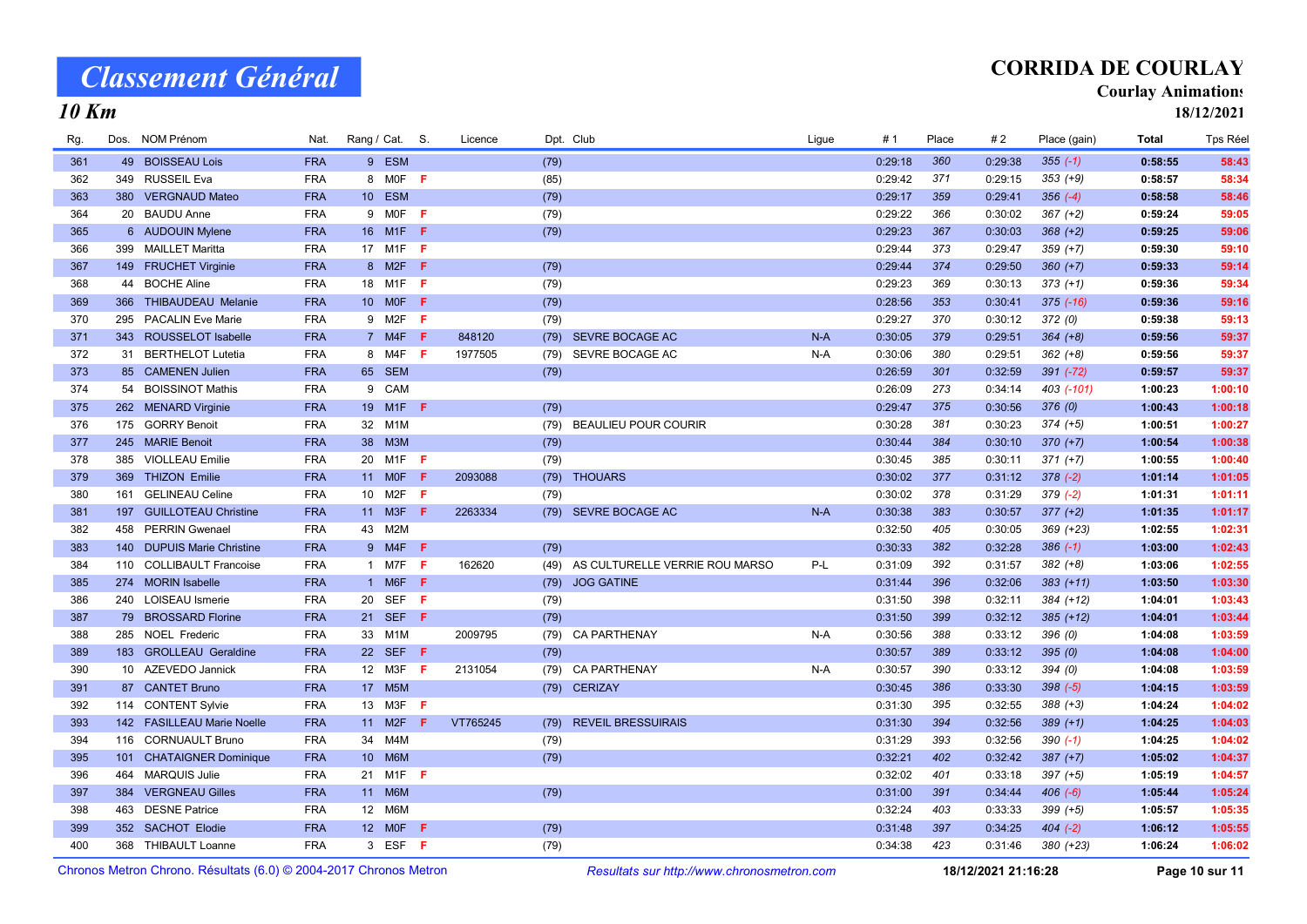## CORRIDA DE COURLAY

#### Courlay Animations

18/12/2021

| Rg.                                                               |     | Dos. NOM Prénom            | Nat.       | Rang / Cat. S.  |                           |     | Licence  |      | Dpt. Club                                  | Ligue | #1      | Place | #2                  | Place (gain)   | <b>Total</b> | Tps Réel |
|-------------------------------------------------------------------|-----|----------------------------|------------|-----------------|---------------------------|-----|----------|------|--------------------------------------------|-------|---------|-------|---------------------|----------------|--------------|----------|
| 361                                                               |     | 49 BOISSEAU Lois           | <b>FRA</b> |                 | 9 ESM                     |     |          | (79) |                                            |       | 0:29:18 | 360   | 0:29:38             | $355(-1)$      | 0:58:55      | 58:43    |
| 362                                                               |     | 349 RUSSEIL Eva            | <b>FRA</b> |                 | 8 MOF                     | - F |          | (85) |                                            |       | 0:29:42 | 371   | 0:29:15             | $353 (+9)$     | 0:58:57      | 58:34    |
| 363                                                               |     | 380 VERGNAUD Mateo         | <b>FRA</b> |                 | 10 ESM                    |     |          | (79) |                                            |       | 0:29:17 | 359   | 0:29:41             | $356(-4)$      | 0:58:58      | 58:46    |
| 364                                                               |     | 20 BAUDU Anne              | <b>FRA</b> |                 | 9 MOF                     | -F  |          | (79) |                                            |       | 0:29:22 | 366   | 0:30:02             | $367 (+2)$     | 0:59:24      | 59:05    |
| 365                                                               |     | 6 AUDOUIN Mylene           | <b>FRA</b> | 16              | M <sub>1</sub> F <b>F</b> |     |          | (79) |                                            |       | 0:29:23 | 367   | 0:30:03             | $368 (+2)$     | 0:59:25      | 59:06    |
| 366                                                               |     | 399 MAILLET Maritta        | <b>FRA</b> | 17              | M1F                       | -F  |          |      |                                            |       | 0:29:44 | 373   | 0:29:47             | 359 (+7)       | 0:59:30      | 59:10    |
| 367                                                               |     | 149 FRUCHET Virginie       | <b>FRA</b> |                 | 8 M2F F                   |     |          | (79) |                                            |       | 0:29:44 | 374   | 0:29:50             | $360 (+7)$     | 0:59:33      | 59:14    |
| 368                                                               |     | 44 BOCHE Aline             | <b>FRA</b> | 18              | M1F $\,$ F                |     |          | (79) |                                            |       | 0:29:23 | 369   | 0:30:13             | $373 (+1)$     | 0:59:36      | 59:34    |
| 369                                                               |     | 366 THIBAUDEAU Melanie     | <b>FRA</b> | 10 <sup>1</sup> | <b>MOF</b>                | -F  |          | (79) |                                            |       | 0:28:56 | 353   | 0:30:41             | $375$ $(-16)$  | 0:59:36      | 59:16    |
| 370                                                               | 295 | <b>PACALIN Eve Marie</b>   | <b>FRA</b> | 9               | M2F                       | -F  |          | (79) |                                            |       | 0:29:27 | 370   | 0:30:12             | 372(0)         | 0:59:38      | 59:13    |
| 371                                                               |     | 343 ROUSSELOT Isabelle     | <b>FRA</b> |                 | 7 M4F                     | -F  | 848120   |      | (79) SEVRE BOCAGE AC                       | $N-A$ | 0:30:05 | 379   | 0:29:51             | $364 (+8)$     | 0:59:56      | 59:37    |
| 372                                                               |     | 31 BERTHELOT Lutetia       | <b>FRA</b> |                 | 8 M4F F                   |     | 1977505  | (79) | SEVRE BOCAGE AC                            | N-A   | 0:30:06 | 380   | 0:29:51             | $362 (+8)$     | 0:59:56      | 59:37    |
| 373                                                               |     | 85 CAMENEN Julien          | <b>FRA</b> |                 | 65 SEM                    |     |          | (79) |                                            |       | 0:26:59 | 301   | 0:32:59             | $391 (-72)$    | 0:59:57      | 59:37    |
| 374                                                               |     | 54 BOISSINOT Mathis        | <b>FRA</b> | 9               | CAM                       |     |          |      |                                            |       | 0:26:09 | 273   | 0:34:14             | 403 (-101)     | 1:00:23      | 1:00:10  |
| 375                                                               |     | 262 MENARD Virginie        | <b>FRA</b> |                 | 19 M1F <b>F</b>           |     |          | (79) |                                            |       | 0:29:47 | 375   | 0:30:56             | 376(0)         | 1:00:43      | 1:00:18  |
| 376                                                               |     | 175 GORRY Benoit           | <b>FRA</b> | 32              | M <sub>1</sub> M          |     |          | (79) | <b>BEAULIEU POUR COURIR</b>                |       | 0:30:28 | 381   | 0:30:23             | $374 (+5)$     | 1:00:51      | 1:00:27  |
| 377                                                               |     | 245 MARIE Benoit           | <b>FRA</b> | 38              | M3M                       |     |          | (79) |                                            |       | 0:30:44 | 384   | 0:30:10             | $370 (+7)$     | 1:00:54      | 1:00:38  |
| 378                                                               |     | 385 VIOLLEAU Emilie        | <b>FRA</b> | 20              | M <sub>1</sub> F          | F   |          | (79) |                                            |       | 0:30:45 | 385   | 0:30:11             | $371 (+7)$     | 1:00:55      | 1:00:40  |
| 379                                                               |     | 369 THIZON Emilie          | <b>FRA</b> |                 | 11 MOF                    | F   | 2093088  | (79) | <b>THOUARS</b>                             |       | 0:30:02 | 377   | 0:31:12             | $378(-2)$      | 1:01:14      | 1:01:05  |
| 380                                                               | 161 | <b>GELINEAU Celine</b>     | <b>FRA</b> | 10 <sup>°</sup> | M <sub>2</sub> F          | - F |          | (79) |                                            |       | 0:30:02 | 378   | 0:31:29             | $379(-2)$      | 1:01:31      | 1:01:11  |
| 381                                                               |     | 197 GUILLOTEAU Christine   | <b>FRA</b> | 11              | M3F                       | -F  | 2263334  |      | (79) SEVRE BOCAGE AC                       | $N-A$ | 0:30:38 | 383   | 0:30:57             | $377 (+2)$     | 1:01:35      | 1:01:17  |
| 382                                                               |     | 458 PERRIN Gwenael         | <b>FRA</b> | 43              | M2M                       |     |          |      |                                            |       | 0:32:50 | 405   | 0:30:05             | $369 (+23)$    | 1:02:55      | 1:02:31  |
| 383                                                               |     | 140 DUPUIS Marie Christine | <b>FRA</b> |                 | 9 M4F                     | -F  |          | (79) |                                            |       | 0:30:33 | 382   | 0:32:28             | $386 (-1)$     | 1:03:00      | 1:02:43  |
| 384                                                               |     | 110 COLLIBAULT Francoise   | <b>FRA</b> |                 | 1 M7F                     | -F  | 162620   | (49) | AS CULTURELLE VERRIE ROU MARSO             | P-L   | 0:31:09 | 392   | 0:31:57             | $382 (+8)$     | 1:03:06      | 1:02:55  |
| 385                                                               |     | 274 MORIN Isabelle         | <b>FRA</b> |                 | 1 M6F                     | F   |          | (79) | <b>JOG GATINE</b>                          |       | 0:31:44 | 396   | 0:32:06             | $383 (+11)$    | 1:03:50      | 1:03:30  |
| 386                                                               |     | 240 LOISEAU Ismerie        | <b>FRA</b> | 20              | <b>SEF</b>                | F   |          | (79) |                                            |       | 0:31:50 | 398   | 0:32:11             | $384 (+12)$    | 1:04:01      | 1:03:43  |
| 387                                                               |     | 79 BROSSARD Florine        | <b>FRA</b> | 21              | <b>SEF</b>                | F   |          | (79) |                                            |       | 0:31:50 | 399   | 0:32:12             | $385 (+12)$    | 1:04:01      | 1:03:44  |
| 388                                                               |     | 285 NOEL Frederic          | <b>FRA</b> | 33              | M <sub>1</sub> M          |     | 2009795  | (79) | <b>CA PARTHENAY</b>                        | N-A   | 0:30:56 | 388   | 0:33:12             | 396(0)         | 1:04:08      | 1:03:59  |
| 389                                                               |     | 183 GROLLEAU Geraldine     | <b>FRA</b> | 22              | SEF F                     |     |          | (79) |                                            |       | 0:30:57 | 389   | 0:33:12             | 395(0)         | 1:04:08      | 1:04:00  |
| 390                                                               |     | 10 AZEVEDO Jannick         | <b>FRA</b> |                 | 12 M3F                    | Æ.  | 2131054  | (79) | <b>CA PARTHENAY</b>                        | $N-A$ | 0:30:57 | 390   | 0:33:12             | 394(0)         | 1:04:08      | 1:03:59  |
| 391                                                               |     | 87 CANTET Bruno            | <b>FRA</b> | 17              | M <sub>5</sub> M          |     |          | (79) | <b>CERIZAY</b>                             |       | 0:30:45 | 386   | 0:33:30             | $398 (-5)$     | 1:04:15      | 1:03:59  |
| 392                                                               |     | 114 CONTENT Sylvie         | <b>FRA</b> | 13              | M3F                       | -F  |          |      |                                            |       | 0:31:30 | 395   | 0:32:55             | 388 (+3)       | 1:04:24      | 1:04:02  |
| 393                                                               |     | 142 FASILLEAU Marie Noelle | <b>FRA</b> |                 | 11 M2F                    | -F  | VT765245 | (79) | <b>REVEIL BRESSUIRAIS</b>                  |       | 0:31:30 | 394   | 0:32:56             | $389 (+1)$     | 1:04:25      | 1:04:03  |
| 394                                                               |     | 116 CORNUAULT Bruno        | <b>FRA</b> | 34              | M4M                       |     |          | (79) |                                            |       | 0:31:29 | 393   | 0:32:56             | $390(-1)$      | 1:04:25      | 1:04:02  |
| 395                                                               |     | 101 CHATAIGNER Dominique   | <b>FRA</b> | 10              | M6M                       |     |          | (79) |                                            |       | 0:32:21 | 402   | 0:32:42             | $387 (+7)$     | 1:05:02      | 1:04:37  |
| 396                                                               |     | 464 MARQUIS Julie          | <b>FRA</b> | 21              | $M1F$ F                   |     |          |      |                                            |       | 0:32:02 | 401   | 0:33:18             | 397 (+5)       | 1:05:19      | 1:04:57  |
| 397                                                               |     | 384 VERGNEAU Gilles        | <b>FRA</b> |                 | 11 M6M                    |     |          | (79) |                                            |       | 0:31:00 | 391   | 0:34:44             | $406 (-6)$     | 1:05:44      | 1:05:24  |
| 398                                                               |     | 463 DESNE Patrice          | <b>FRA</b> | 12              | M6M                       |     |          |      |                                            |       | 0:32:24 | 403   | 0:33:33             | $399 (+5)$     | 1:05:57      | 1:05:35  |
| 399                                                               |     | 352 SACHOT Elodie          | <b>FRA</b> |                 | 12 MOF                    | Æ   |          | (79) |                                            |       | 0:31:48 | 397   | 0:34:25             | $404 (-2)$     | 1:06:12      | 1:05:55  |
| 400                                                               |     | 368 THIBAULT Loanne        | <b>FRA</b> |                 | 3 ESF F                   |     |          | (79) |                                            |       | 0:34:38 | 423   | 0:31:46             | 380 (+23)      | 1:06:24      | 1:06:02  |
| Chronos Metron Chrono, Résultats (6.0) © 2004-2017 Chronos Metron |     |                            |            |                 |                           |     |          |      | Resultats sur http://www.chronosmetron.com |       |         |       | 18/12/2021 21:16:28 | Page 10 sur 11 |              |          |